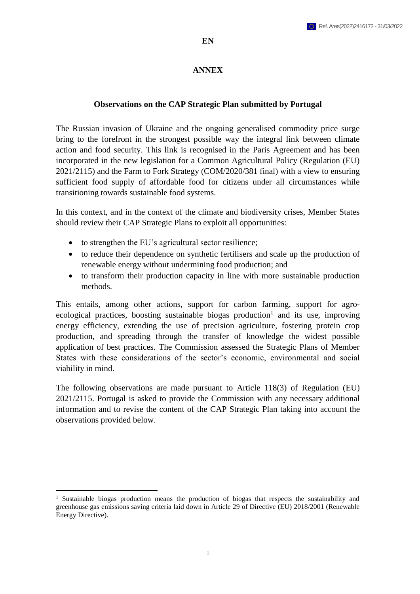## **ANNEX**

## **Observations on the CAP Strategic Plan submitted by Portugal**

The Russian invasion of Ukraine and the ongoing generalised commodity price surge bring to the forefront in the strongest possible way the integral link between climate action and food security. This link is recognised in the Paris Agreement and has been incorporated in the new legislation for a Common Agricultural Policy (Regulation (EU) 2021/2115) and the Farm to Fork Strategy (COM/2020/381 final) with a view to ensuring sufficient food supply of affordable food for citizens under all circumstances while transitioning towards sustainable food systems.

In this context, and in the context of the climate and biodiversity crises, Member States should review their CAP Strategic Plans to exploit all opportunities:

- to strengthen the EU's agricultural sector resilience;
- to reduce their dependence on synthetic fertilisers and scale up the production of renewable energy without undermining food production; and
- to transform their production capacity in line with more sustainable production methods.

This entails, among other actions, support for carbon farming, support for agroecological practices, boosting sustainable biogas production<sup>1</sup> and its use, improving energy efficiency, extending the use of precision agriculture, fostering protein crop production, and spreading through the transfer of knowledge the widest possible application of best practices. The Commission assessed the Strategic Plans of Member States with these considerations of the sector's economic, environmental and social viability in mind.

The following observations are made pursuant to Article 118(3) of Regulation (EU) 2021/2115. Portugal is asked to provide the Commission with any necessary additional information and to revise the content of the CAP Strategic Plan taking into account the observations provided below.

 $\overline{a}$ <sup>1</sup> Sustainable biogas production means the production of biogas that respects the sustainability and greenhouse gas emissions saving criteria laid down in Article 29 of Directive (EU) 2018/2001 (Renewable Energy Directive).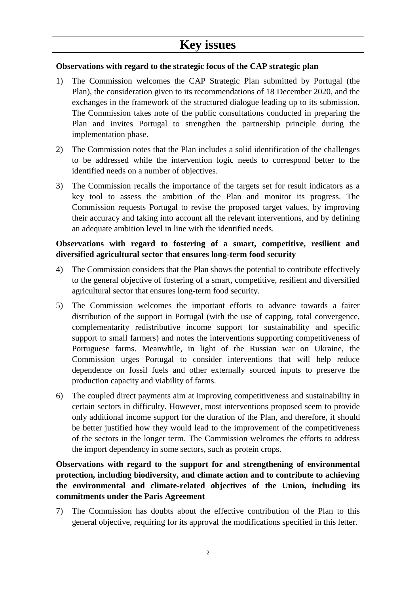# **Key issues**

## **Observations with regard to the strategic focus of the CAP strategic plan**

- 1) The Commission welcomes the CAP Strategic Plan submitted by Portugal (the Plan), the consideration given to its recommendations of 18 December 2020, and the exchanges in the framework of the structured dialogue leading up to its submission. The Commission takes note of the public consultations conducted in preparing the Plan and invites Portugal to strengthen the partnership principle during the implementation phase.
- 2) The Commission notes that the Plan includes a solid identification of the challenges to be addressed while the intervention logic needs to correspond better to the identified needs on a number of objectives.
- 3) The Commission recalls the importance of the targets set for result indicators as a key tool to assess the ambition of the Plan and monitor its progress. The Commission requests Portugal to revise the proposed target values, by improving their accuracy and taking into account all the relevant interventions, and by defining an adequate ambition level in line with the identified needs.

## **Observations with regard to fostering of a smart, competitive, resilient and diversified agricultural sector that ensures long-term food security**

- 4) The Commission considers that the Plan shows the potential to contribute effectively to the general objective of fostering of a smart, competitive, resilient and diversified agricultural sector that ensures long-term food security.
- 5) The Commission welcomes the important efforts to advance towards a fairer distribution of the support in Portugal (with the use of capping, total convergence, complementarity redistributive income support for sustainability and specific support to small farmers) and notes the interventions supporting competitiveness of Portuguese farms. Meanwhile, in light of the Russian war on Ukraine, the Commission urges Portugal to consider interventions that will help reduce dependence on fossil fuels and other externally sourced inputs to preserve the production capacity and viability of farms.
- 6) The coupled direct payments aim at improving competitiveness and sustainability in certain sectors in difficulty. However, most interventions proposed seem to provide only additional income support for the duration of the Plan, and therefore, it should be better justified how they would lead to the improvement of the competitiveness of the sectors in the longer term. The Commission welcomes the efforts to address the import dependency in some sectors, such as protein crops.

# **Observations with regard to the support for and strengthening of environmental protection, including biodiversity, and climate action and to contribute to achieving the environmental and climate-related objectives of the Union, including its commitments under the Paris Agreement**

7) The Commission has doubts about the effective contribution of the Plan to this general objective, requiring for its approval the modifications specified in this letter.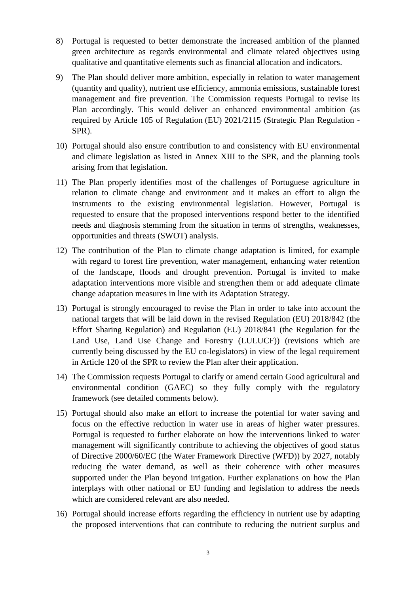- 8) Portugal is requested to better demonstrate the increased ambition of the planned green architecture as regards environmental and climate related objectives using qualitative and quantitative elements such as financial allocation and indicators.
- 9) The Plan should deliver more ambition, especially in relation to water management (quantity and quality), nutrient use efficiency, ammonia emissions, sustainable forest management and fire prevention. The Commission requests Portugal to revise its Plan accordingly. This would deliver an enhanced environmental ambition (as required by Article 105 of Regulation (EU) 2021/2115 (Strategic Plan Regulation - SPR).
- 10) Portugal should also ensure contribution to and consistency with EU environmental and climate legislation as listed in Annex XIII to the SPR, and the planning tools arising from that legislation.
- 11) The Plan properly identifies most of the challenges of Portuguese agriculture in relation to climate change and environment and it makes an effort to align the instruments to the existing environmental legislation. However, Portugal is requested to ensure that the proposed interventions respond better to the identified needs and diagnosis stemming from the situation in terms of strengths, weaknesses, opportunities and threats (SWOT) analysis.
- 12) The contribution of the Plan to climate change adaptation is limited, for example with regard to forest fire prevention, water management, enhancing water retention of the landscape, floods and drought prevention. Portugal is invited to make adaptation interventions more visible and strengthen them or add adequate climate change adaptation measures in line with its Adaptation Strategy.
- 13) Portugal is strongly encouraged to revise the Plan in order to take into account the national targets that will be laid down in the revised Regulation (EU) 2018/842 (the Effort Sharing Regulation) and Regulation (EU) 2018/841 (the Regulation for the Land Use, Land Use Change and Forestry (LULUCF)) (revisions which are currently being discussed by the EU co-legislators) in view of the legal requirement in Article 120 of the SPR to review the Plan after their application.
- 14) The Commission requests Portugal to clarify or amend certain Good agricultural and environmental condition (GAEC) so they fully comply with the regulatory framework (see detailed comments below).
- 15) Portugal should also make an effort to increase the potential for water saving and focus on the effective reduction in water use in areas of higher water pressures. Portugal is requested to further elaborate on how the interventions linked to water management will significantly contribute to achieving the objectives of good status of Directive 2000/60/EC (the Water Framework Directive (WFD)) by 2027, notably reducing the water demand, as well as their coherence with other measures supported under the Plan beyond irrigation. Further explanations on how the Plan interplays with other national or EU funding and legislation to address the needs which are considered relevant are also needed.
- 16) Portugal should increase efforts regarding the efficiency in nutrient use by adapting the proposed interventions that can contribute to reducing the nutrient surplus and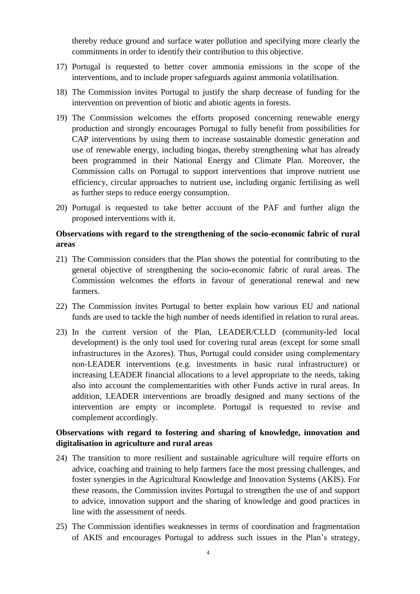thereby reduce ground and surface water pollution and specifying more clearly the commitments in order to identify their contribution to this objective.

- 17) Portugal is requested to better cover ammonia emissions in the scope of the interventions, and to include proper safeguards against ammonia volatilisation.
- 18) The Commission invites Portugal to justify the sharp decrease of funding for the intervention on prevention of biotic and abiotic agents in forests.
- 19) The Commission welcomes the efforts proposed concerning renewable energy production and strongly encourages Portugal to fully benefit from possibilities for CAP interventions by using them to increase sustainable domestic generation and use of renewable energy, including biogas, thereby strengthening what has already been programmed in their National Energy and Climate Plan. Moreover, the Commission calls on Portugal to support interventions that improve nutrient use efficiency, circular approaches to nutrient use, including organic fertilising as well as further steps to reduce energy consumption.
- 20) Portugal is requested to take better account of the PAF and further align the proposed interventions with it.

## **Observations with regard to the strengthening of the socio-economic fabric of rural areas**

- 21) The Commission considers that the Plan shows the potential for contributing to the general objective of strengthening the socio-economic fabric of rural areas. The Commission welcomes the efforts in favour of generational renewal and new farmers.
- 22) The Commission invites Portugal to better explain how various EU and national funds are used to tackle the high number of needs identified in relation to rural areas.
- 23) In the current version of the Plan, LEADER/CLLD (community-led local development) is the only tool used for covering rural areas (except for some small infrastructures in the Azores). Thus, Portugal could consider using complementary non-LEADER interventions (e.g. investments in basic rural infrastructure) or increasing LEADER financial allocations to a level appropriate to the needs, taking also into account the complementarities with other Funds active in rural areas. In addition, LEADER interventions are broadly designed and many sections of the intervention are empty or incomplete. Portugal is requested to revise and complement accordingly.

## **Observations with regard to fostering and sharing of knowledge, innovation and digitalisation in agriculture and rural areas**

- 24) The transition to more resilient and sustainable agriculture will require efforts on advice, coaching and training to help farmers face the most pressing challenges, and foster synergies in the Agricultural Knowledge and Innovation Systems (AKIS). For these reasons, the Commission invites Portugal to strengthen the use of and support to advice, innovation support and the sharing of knowledge and good practices in line with the assessment of needs.
- 25) The Commission identifies weaknesses in terms of coordination and fragmentation of AKIS and encourages Portugal to address such issues in the Plan's strategy,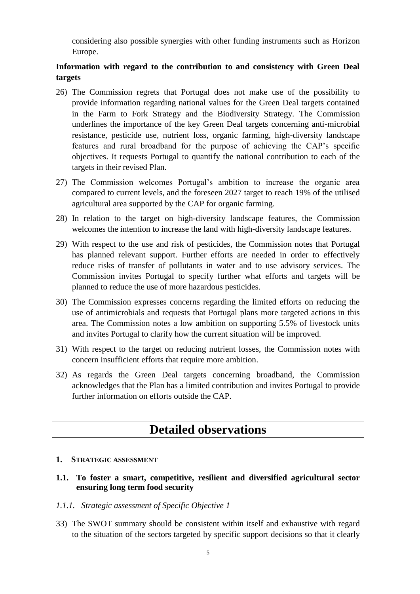considering also possible synergies with other funding instruments such as Horizon Europe.

# **Information with regard to the contribution to and consistency with Green Deal targets**

- 26) The Commission regrets that Portugal does not make use of the possibility to provide information regarding national values for the Green Deal targets contained in the Farm to Fork Strategy and the Biodiversity Strategy. The Commission underlines the importance of the key Green Deal targets concerning anti-microbial resistance, pesticide use, nutrient loss, organic farming, high-diversity landscape features and rural broadband for the purpose of achieving the CAP's specific objectives. It requests Portugal to quantify the national contribution to each of the targets in their revised Plan.
- 27) The Commission welcomes Portugal's ambition to increase the organic area compared to current levels, and the foreseen 2027 target to reach 19% of the utilised agricultural area supported by the CAP for organic farming.
- 28) In relation to the target on high-diversity landscape features, the Commission welcomes the intention to increase the land with high-diversity landscape features.
- 29) With respect to the use and risk of pesticides, the Commission notes that Portugal has planned relevant support. Further efforts are needed in order to effectively reduce risks of transfer of pollutants in water and to use advisory services. The Commission invites Portugal to specify further what efforts and targets will be planned to reduce the use of more hazardous pesticides.
- 30) The Commission expresses concerns regarding the limited efforts on reducing the use of antimicrobials and requests that Portugal plans more targeted actions in this area. The Commission notes a low ambition on supporting 5.5% of livestock units and invites Portugal to clarify how the current situation will be improved.
- 31) With respect to the target on reducing nutrient losses, the Commission notes with concern insufficient efforts that require more ambition.
- 32) As regards the Green Deal targets concerning broadband, the Commission acknowledges that the Plan has a limited contribution and invites Portugal to provide further information on efforts outside the CAP.

# **Detailed observations**

#### **1. STRATEGIC ASSESSMENT**

**1.1. To foster a smart, competitive, resilient and diversified agricultural sector ensuring long term food security**

#### *1.1.1. Strategic assessment of Specific Objective 1*

33) The SWOT summary should be consistent within itself and exhaustive with regard to the situation of the sectors targeted by specific support decisions so that it clearly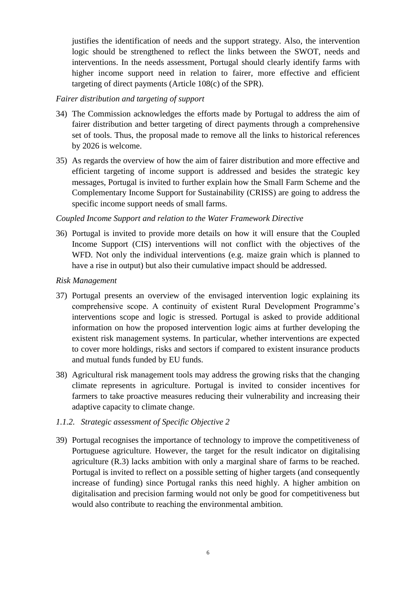justifies the identification of needs and the support strategy. Also, the intervention logic should be strengthened to reflect the links between the SWOT, needs and interventions. In the needs assessment, Portugal should clearly identify farms with higher income support need in relation to fairer, more effective and efficient targeting of direct payments (Article 108(c) of the SPR).

### *Fairer distribution and targeting of support*

- 34) The Commission acknowledges the efforts made by Portugal to address the aim of fairer distribution and better targeting of direct payments through a comprehensive set of tools. Thus, the proposal made to remove all the links to historical references by 2026 is welcome.
- 35) As regards the overview of how the aim of fairer distribution and more effective and efficient targeting of income support is addressed and besides the strategic key messages, Portugal is invited to further explain how the Small Farm Scheme and the Complementary Income Support for Sustainability (CRISS) are going to address the specific income support needs of small farms.

## *Coupled Income Support and relation to the Water Framework Directive*

36) Portugal is invited to provide more details on how it will ensure that the Coupled Income Support (CIS) interventions will not conflict with the objectives of the WFD. Not only the individual interventions (e.g. maize grain which is planned to have a rise in output) but also their cumulative impact should be addressed.

## *Risk Management*

- 37) Portugal presents an overview of the envisaged intervention logic explaining its comprehensive scope. A continuity of existent Rural Development Programme's interventions scope and logic is stressed. Portugal is asked to provide additional information on how the proposed intervention logic aims at further developing the existent risk management systems. In particular, whether interventions are expected to cover more holdings, risks and sectors if compared to existent insurance products and mutual funds funded by EU funds.
- 38) Agricultural risk management tools may address the growing risks that the changing climate represents in agriculture. Portugal is invited to consider incentives for farmers to take proactive measures reducing their vulnerability and increasing their adaptive capacity to climate change.
- *1.1.2. Strategic assessment of Specific Objective 2*
- 39) Portugal recognises the importance of technology to improve the competitiveness of Portuguese agriculture. However, the target for the result indicator on digitalising agriculture (R.3) lacks ambition with only a marginal share of farms to be reached. Portugal is invited to reflect on a possible setting of higher targets (and consequently increase of funding) since Portugal ranks this need highly. A higher ambition on digitalisation and precision farming would not only be good for competitiveness but would also contribute to reaching the environmental ambition.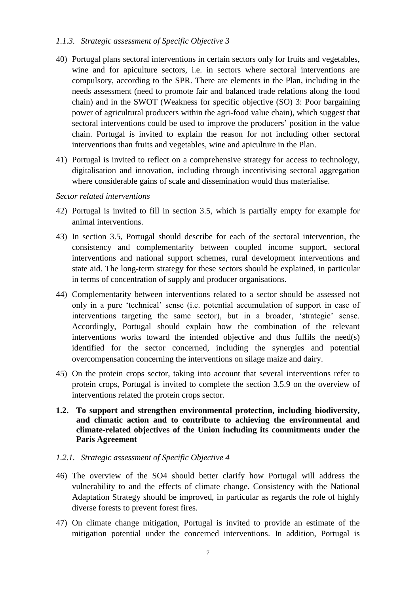### *1.1.3. Strategic assessment of Specific Objective 3*

- 40) Portugal plans sectoral interventions in certain sectors only for fruits and vegetables, wine and for apiculture sectors, i.e. in sectors where sectoral interventions are compulsory, according to the SPR. There are elements in the Plan, including in the needs assessment (need to promote fair and balanced trade relations along the food chain) and in the SWOT (Weakness for specific objective (SO) 3: Poor bargaining power of agricultural producers within the agri-food value chain), which suggest that sectoral interventions could be used to improve the producers' position in the value chain. Portugal is invited to explain the reason for not including other sectoral interventions than fruits and vegetables, wine and apiculture in the Plan.
- 41) Portugal is invited to reflect on a comprehensive strategy for access to technology, digitalisation and innovation, including through incentivising sectoral aggregation where considerable gains of scale and dissemination would thus materialise.

#### *Sector related interventions*

- 42) Portugal is invited to fill in section 3.5, which is partially empty for example for animal interventions.
- 43) In section 3.5, Portugal should describe for each of the sectoral intervention, the consistency and complementarity between coupled income support, sectoral interventions and national support schemes, rural development interventions and state aid. The long-term strategy for these sectors should be explained, in particular in terms of concentration of supply and producer organisations.
- 44) Complementarity between interventions related to a sector should be assessed not only in a pure 'technical' sense (i.e. potential accumulation of support in case of interventions targeting the same sector), but in a broader, 'strategic' sense. Accordingly, Portugal should explain how the combination of the relevant interventions works toward the intended objective and thus fulfils the need(s) identified for the sector concerned, including the synergies and potential overcompensation concerning the interventions on silage maize and dairy.
- 45) On the protein crops sector, taking into account that several interventions refer to protein crops, Portugal is invited to complete the section 3.5.9 on the overview of interventions related the protein crops sector.
- **1.2. To support and strengthen environmental protection, including biodiversity, and climatic action and to contribute to achieving the environmental and climate-related objectives of the Union including its commitments under the Paris Agreement**

#### *1.2.1. Strategic assessment of Specific Objective 4*

- 46) The overview of the SO4 should better clarify how Portugal will address the vulnerability to and the effects of climate change. Consistency with the National Adaptation Strategy should be improved, in particular as regards the role of highly diverse forests to prevent forest fires.
- 47) On climate change mitigation, Portugal is invited to provide an estimate of the mitigation potential under the concerned interventions. In addition, Portugal is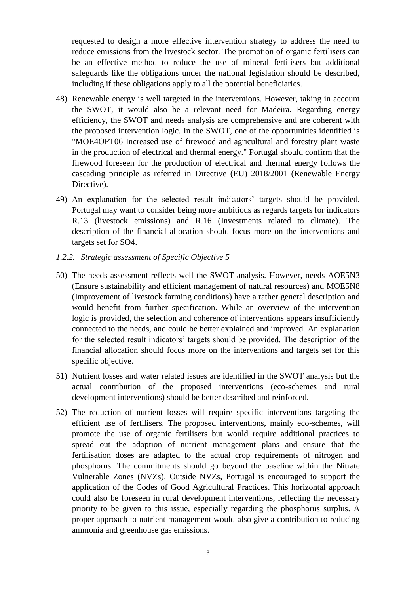requested to design a more effective intervention strategy to address the need to reduce emissions from the livestock sector. The promotion of organic fertilisers can be an effective method to reduce the use of mineral fertilisers but additional safeguards like the obligations under the national legislation should be described, including if these obligations apply to all the potential beneficiaries.

- 48) Renewable energy is well targeted in the interventions. However, taking in account the SWOT, it would also be a relevant need for Madeira. Regarding energy efficiency, the SWOT and needs analysis are comprehensive and are coherent with the proposed intervention logic. In the SWOT, one of the opportunities identified is "MOE4OPT06 Increased use of firewood and agricultural and forestry plant waste in the production of electrical and thermal energy." Portugal should confirm that the firewood foreseen for the production of electrical and thermal energy follows the cascading principle as referred in Directive (EU) 2018/2001 (Renewable Energy Directive).
- 49) An explanation for the selected result indicators' targets should be provided. Portugal may want to consider being more ambitious as regards targets for indicators R.13 (livestock emissions) and R.16 (Investments related to climate). The description of the financial allocation should focus more on the interventions and targets set for SO4.
- *1.2.2. Strategic assessment of Specific Objective 5*
- 50) The needs assessment reflects well the SWOT analysis. However, needs AOE5N3 (Ensure sustainability and efficient management of natural resources) and MOE5N8 (Improvement of livestock farming conditions) have a rather general description and would benefit from further specification. While an overview of the intervention logic is provided, the selection and coherence of interventions appears insufficiently connected to the needs, and could be better explained and improved. An explanation for the selected result indicators' targets should be provided. The description of the financial allocation should focus more on the interventions and targets set for this specific objective.
- 51) Nutrient losses and water related issues are identified in the SWOT analysis but the actual contribution of the proposed interventions (eco-schemes and rural development interventions) should be better described and reinforced.
- 52) The reduction of nutrient losses will require specific interventions targeting the efficient use of fertilisers. The proposed interventions, mainly eco-schemes, will promote the use of organic fertilisers but would require additional practices to spread out the adoption of nutrient management plans and ensure that the fertilisation doses are adapted to the actual crop requirements of nitrogen and phosphorus. The commitments should go beyond the baseline within the Nitrate Vulnerable Zones (NVZs). Outside NVZs, Portugal is encouraged to support the application of the Codes of Good Agricultural Practices. This horizontal approach could also be foreseen in rural development interventions, reflecting the necessary priority to be given to this issue, especially regarding the phosphorus surplus. A proper approach to nutrient management would also give a contribution to reducing ammonia and greenhouse gas emissions.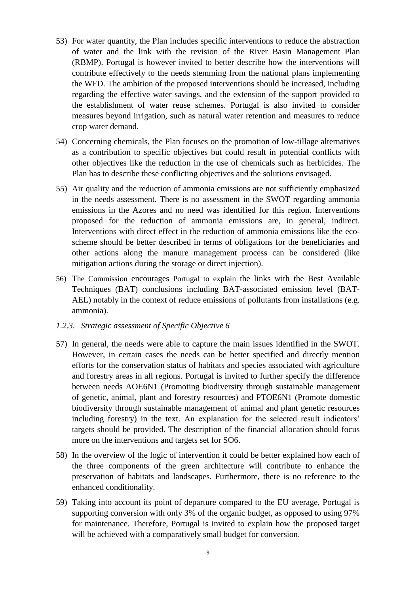- 53) For water quantity, the Plan includes specific interventions to reduce the abstraction of water and the link with the revision of the River Basin Management Plan (RBMP). Portugal is however invited to better describe how the interventions will contribute effectively to the needs stemming from the national plans implementing the WFD. The ambition of the proposed interventions should be increased, including regarding the effective water savings, and the extension of the support provided to the establishment of water reuse schemes. Portugal is also invited to consider measures beyond irrigation, such as natural water retention and measures to reduce crop water demand.
- 54) Concerning chemicals, the Plan focuses on the promotion of low-tillage alternatives as a contribution to specific objectives but could result in potential conflicts with other objectives like the reduction in the use of chemicals such as herbicides. The Plan has to describe these conflicting objectives and the solutions envisaged.
- 55) Air quality and the reduction of ammonia emissions are not sufficiently emphasized in the needs assessment. There is no assessment in the SWOT regarding ammonia emissions in the Azores and no need was identified for this region. Interventions proposed for the reduction of ammonia emissions are, in general, indirect. Interventions with direct effect in the reduction of ammonia emissions like the ecoscheme should be better described in terms of obligations for the beneficiaries and other actions along the manure management process can be considered (like mitigation actions during the storage or direct injection).
- 56) The Commission encourages Portugal to explain the links with the Best Available Techniques (BAT) conclusions including BAT-associated emission level (BAT-AEL) notably in the context of reduce emissions of pollutants from installations (e.g. ammonia).
- *1.2.3. Strategic assessment of Specific Objective 6*
- 57) In general, the needs were able to capture the main issues identified in the SWOT. However, in certain cases the needs can be better specified and directly mention efforts for the conservation status of habitats and species associated with agriculture and forestry areas in all regions. Portugal is invited to further specify the difference between needs AOE6N1 (Promoting biodiversity through sustainable management of genetic, animal, plant and forestry resources) and PTOE6N1 (Promote domestic biodiversity through sustainable management of animal and plant genetic resources including forestry) in the text. An explanation for the selected result indicators' targets should be provided. The description of the financial allocation should focus more on the interventions and targets set for SO6.
- 58) In the overview of the logic of intervention it could be better explained how each of the three components of the green architecture will contribute to enhance the preservation of habitats and landscapes. Furthermore, there is no reference to the enhanced conditionality.
- 59) Taking into account its point of departure compared to the EU average, Portugal is supporting conversion with only 3% of the organic budget, as opposed to using 97% for maintenance. Therefore, Portugal is invited to explain how the proposed target will be achieved with a comparatively small budget for conversion.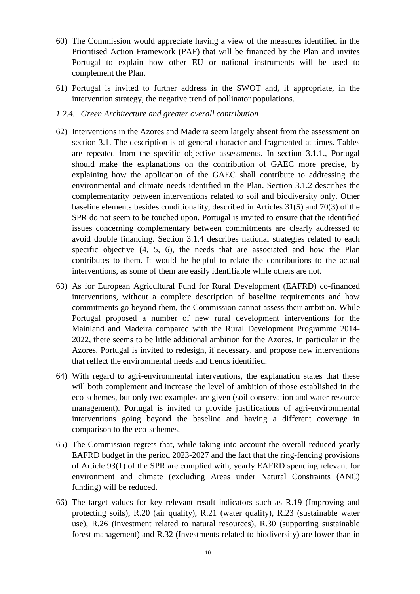- 60) The Commission would appreciate having a view of the measures identified in the Prioritised Action Framework (PAF) that will be financed by the Plan and invites Portugal to explain how other EU or national instruments will be used to complement the Plan.
- 61) Portugal is invited to further address in the SWOT and, if appropriate, in the intervention strategy, the negative trend of pollinator populations.

#### *1.2.4. Green Architecture and greater overall contribution*

- 62) Interventions in the Azores and Madeira seem largely absent from the assessment on section 3.1. The description is of general character and fragmented at times. Tables are repeated from the specific objective assessments. In section 3.1.1., Portugal should make the explanations on the contribution of GAEC more precise, by explaining how the application of the GAEC shall contribute to addressing the environmental and climate needs identified in the Plan. Section 3.1.2 describes the complementarity between interventions related to soil and biodiversity only. Other baseline elements besides conditionality, described in Articles 31(5) and 70(3) of the SPR do not seem to be touched upon. Portugal is invited to ensure that the identified issues concerning complementary between commitments are clearly addressed to avoid double financing. Section 3.1.4 describes national strategies related to each specific objective (4, 5, 6), the needs that are associated and how the Plan contributes to them. It would be helpful to relate the contributions to the actual interventions, as some of them are easily identifiable while others are not.
- 63) As for European Agricultural Fund for Rural Development (EAFRD) co-financed interventions, without a complete description of baseline requirements and how commitments go beyond them, the Commission cannot assess their ambition. While Portugal proposed a number of new rural development interventions for the Mainland and Madeira compared with the Rural Development Programme 2014- 2022, there seems to be little additional ambition for the Azores. In particular in the Azores, Portugal is invited to redesign, if necessary, and propose new interventions that reflect the environmental needs and trends identified.
- 64) With regard to agri-environmental interventions, the explanation states that these will both complement and increase the level of ambition of those established in the eco-schemes, but only two examples are given (soil conservation and water resource management). Portugal is invited to provide justifications of agri-environmental interventions going beyond the baseline and having a different coverage in comparison to the eco-schemes.
- 65) The Commission regrets that, while taking into account the overall reduced yearly EAFRD budget in the period 2023-2027 and the fact that the ring-fencing provisions of Article 93(1) of the SPR are complied with, yearly EAFRD spending relevant for environment and climate (excluding Areas under Natural Constraints (ANC) funding) will be reduced.
- 66) The target values for key relevant result indicators such as R.19 (Improving and protecting soils), R.20 (air quality), R.21 (water quality), R.23 (sustainable water use), R.26 (investment related to natural resources), R.30 (supporting sustainable forest management) and R.32 (Investments related to biodiversity) are lower than in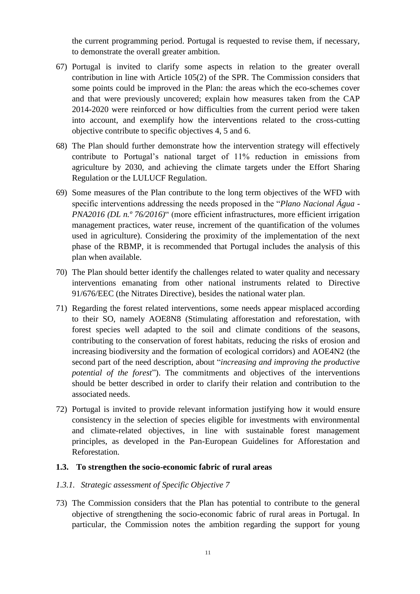the current programming period. Portugal is requested to revise them, if necessary, to demonstrate the overall greater ambition.

- 67) Portugal is invited to clarify some aspects in relation to the greater overall contribution in line with Article 105(2) of the SPR. The Commission considers that some points could be improved in the Plan: the areas which the eco-schemes cover and that were previously uncovered; explain how measures taken from the CAP 2014-2020 were reinforced or how difficulties from the current period were taken into account, and exemplify how the interventions related to the cross-cutting objective contribute to specific objectives 4, 5 and 6.
- 68) The Plan should further demonstrate how the intervention strategy will effectively contribute to Portugal's national target of 11% reduction in emissions from agriculture by 2030, and achieving the climate targets under the Effort Sharing Regulation or the LULUCF Regulation.
- 69) Some measures of the Plan contribute to the long term objectives of the WFD with specific interventions addressing the needs proposed in the "*Plano Nacional Água - PNA2016 (DL n.º 76/2016)*" (more efficient infrastructures, more efficient irrigation management practices, water reuse, increment of the quantification of the volumes used in agriculture). Considering the proximity of the implementation of the next phase of the RBMP, it is recommended that Portugal includes the analysis of this plan when available.
- 70) The Plan should better identify the challenges related to water quality and necessary interventions emanating from other national instruments related to Directive 91/676/EEC (the Nitrates Directive), besides the national water plan.
- 71) Regarding the forest related interventions, some needs appear misplaced according to their SO, namely AOE8N8 (Stimulating afforestation and reforestation, with forest species well adapted to the soil and climate conditions of the seasons, contributing to the conservation of forest habitats, reducing the risks of erosion and increasing biodiversity and the formation of ecological corridors) and AOE4N2 (the second part of the need description, about "*increasing and improving the productive potential of the forest*"). The commitments and objectives of the interventions should be better described in order to clarify their relation and contribution to the associated needs.
- 72) Portugal is invited to provide relevant information justifying how it would ensure consistency in the selection of species eligible for investments with environmental and climate-related objectives, in line with sustainable forest management principles, as developed in the Pan-European Guidelines for Afforestation and Reforestation.

#### **1.3. To strengthen the socio-economic fabric of rural areas**

#### *1.3.1. Strategic assessment of Specific Objective 7*

73) The Commission considers that the Plan has potential to contribute to the general objective of strengthening the socio-economic fabric of rural areas in Portugal. In particular, the Commission notes the ambition regarding the support for young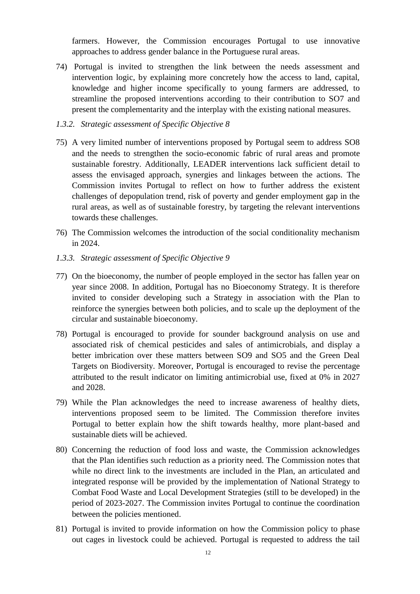farmers. However, the Commission encourages Portugal to use innovative approaches to address gender balance in the Portuguese rural areas.

74) Portugal is invited to strengthen the link between the needs assessment and intervention logic, by explaining more concretely how the access to land, capital, knowledge and higher income specifically to young farmers are addressed, to streamline the proposed interventions according to their contribution to SO7 and present the complementarity and the interplay with the existing national measures.

#### *1.3.2. Strategic assessment of Specific Objective 8*

- 75) A very limited number of interventions proposed by Portugal seem to address SO8 and the needs to strengthen the socio-economic fabric of rural areas and promote sustainable forestry. Additionally, LEADER interventions lack sufficient detail to assess the envisaged approach, synergies and linkages between the actions. The Commission invites Portugal to reflect on how to further address the existent challenges of depopulation trend, risk of poverty and gender employment gap in the rural areas, as well as of sustainable forestry, by targeting the relevant interventions towards these challenges.
- 76) The Commission welcomes the introduction of the social conditionality mechanism in 2024.
- *1.3.3. Strategic assessment of Specific Objective 9*
- 77) On the bioeconomy, the number of people employed in the sector has fallen year on year since 2008. In addition, Portugal has no Bioeconomy Strategy. It is therefore invited to consider developing such a Strategy in association with the Plan to reinforce the synergies between both policies, and to scale up the deployment of the circular and sustainable bioeconomy.
- 78) Portugal is encouraged to provide for sounder background analysis on use and associated risk of chemical pesticides and sales of antimicrobials, and display a better imbrication over these matters between SO9 and SO5 and the Green Deal Targets on Biodiversity. Moreover, Portugal is encouraged to revise the percentage attributed to the result indicator on limiting antimicrobial use, fixed at 0% in 2027 and 2028.
- 79) While the Plan acknowledges the need to increase awareness of healthy diets, interventions proposed seem to be limited. The Commission therefore invites Portugal to better explain how the shift towards healthy, more plant-based and sustainable diets will be achieved.
- 80) Concerning the reduction of food loss and waste, the Commission acknowledges that the Plan identifies such reduction as a priority need. The Commission notes that while no direct link to the investments are included in the Plan, an articulated and integrated response will be provided by the implementation of National Strategy to Combat Food Waste and Local Development Strategies (still to be developed) in the period of 2023-2027. The Commission invites Portugal to continue the coordination between the policies mentioned.
- 81) Portugal is invited to provide information on how the Commission policy to phase out cages in livestock could be achieved. Portugal is requested to address the tail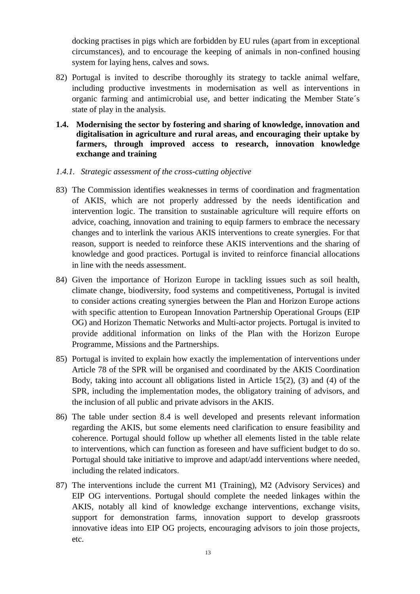docking practises in pigs which are forbidden by EU rules (apart from in exceptional circumstances), and to encourage the keeping of animals in non-confined housing system for laying hens, calves and sows.

- 82) Portugal is invited to describe thoroughly its strategy to tackle animal welfare, including productive investments in modernisation as well as interventions in organic farming and antimicrobial use, and better indicating the Member State´s state of play in the analysis.
- **1.4. Modernising the sector by fostering and sharing of knowledge, innovation and digitalisation in agriculture and rural areas, and encouraging their uptake by farmers, through improved access to research, innovation knowledge exchange and training**

#### *1.4.1. Strategic assessment of the cross-cutting objective*

- 83) The Commission identifies weaknesses in terms of coordination and fragmentation of AKIS, which are not properly addressed by the needs identification and intervention logic. The transition to sustainable agriculture will require efforts on advice, coaching, innovation and training to equip farmers to embrace the necessary changes and to interlink the various AKIS interventions to create synergies. For that reason, support is needed to reinforce these AKIS interventions and the sharing of knowledge and good practices. Portugal is invited to reinforce financial allocations in line with the needs assessment.
- 84) Given the importance of Horizon Europe in tackling issues such as soil health, climate change, biodiversity, food systems and competitiveness, Portugal is invited to consider actions creating synergies between the Plan and Horizon Europe actions with specific attention to European Innovation Partnership Operational Groups (EIP OG) and Horizon Thematic Networks and Multi-actor projects. Portugal is invited to provide additional information on links of the Plan with the Horizon Europe Programme, Missions and the Partnerships.
- 85) Portugal is invited to explain how exactly the implementation of interventions under Article 78 of the SPR will be organised and coordinated by the AKIS Coordination Body, taking into account all obligations listed in Article 15(2), (3) and (4) of the SPR, including the implementation modes, the obligatory training of advisors, and the inclusion of all public and private advisors in the AKIS.
- 86) The table under section 8.4 is well developed and presents relevant information regarding the AKIS, but some elements need clarification to ensure feasibility and coherence. Portugal should follow up whether all elements listed in the table relate to interventions, which can function as foreseen and have sufficient budget to do so. Portugal should take initiative to improve and adapt/add interventions where needed, including the related indicators.
- 87) The interventions include the current M1 (Training), M2 (Advisory Services) and EIP OG interventions. Portugal should complete the needed linkages within the AKIS, notably all kind of knowledge exchange interventions, exchange visits, support for demonstration farms, innovation support to develop grassroots innovative ideas into EIP OG projects, encouraging advisors to join those projects, etc.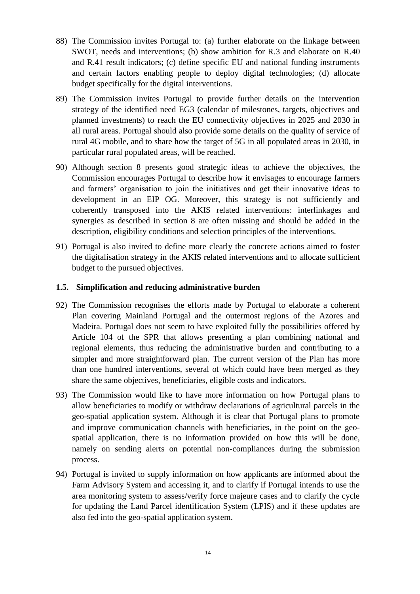- 88) The Commission invites Portugal to: (a) further elaborate on the linkage between SWOT, needs and interventions; (b) show ambition for R.3 and elaborate on R.40 and R.41 result indicators; (c) define specific EU and national funding instruments and certain factors enabling people to deploy digital technologies; (d) allocate budget specifically for the digital interventions.
- 89) The Commission invites Portugal to provide further details on the intervention strategy of the identified need EG3 (calendar of milestones, targets, objectives and planned investments) to reach the EU connectivity objectives in 2025 and 2030 in all rural areas. Portugal should also provide some details on the quality of service of rural 4G mobile, and to share how the target of 5G in all populated areas in 2030, in particular rural populated areas, will be reached.
- 90) Although section 8 presents good strategic ideas to achieve the objectives, the Commission encourages Portugal to describe how it envisages to encourage farmers and farmers' organisation to join the initiatives and get their innovative ideas to development in an EIP OG. Moreover, this strategy is not sufficiently and coherently transposed into the AKIS related interventions: interlinkages and synergies as described in section 8 are often missing and should be added in the description, eligibility conditions and selection principles of the interventions.
- 91) Portugal is also invited to define more clearly the concrete actions aimed to foster the digitalisation strategy in the AKIS related interventions and to allocate sufficient budget to the pursued objectives.

## **1.5. Simplification and reducing administrative burden**

- 92) The Commission recognises the efforts made by Portugal to elaborate a coherent Plan covering Mainland Portugal and the outermost regions of the Azores and Madeira. Portugal does not seem to have exploited fully the possibilities offered by Article 104 of the SPR that allows presenting a plan combining national and regional elements, thus reducing the administrative burden and contributing to a simpler and more straightforward plan. The current version of the Plan has more than one hundred interventions, several of which could have been merged as they share the same objectives, beneficiaries, eligible costs and indicators.
- 93) The Commission would like to have more information on how Portugal plans to allow beneficiaries to modify or withdraw declarations of agricultural parcels in the geo-spatial application system. Although it is clear that Portugal plans to promote and improve communication channels with beneficiaries, in the point on the geospatial application, there is no information provided on how this will be done, namely on sending alerts on potential non-compliances during the submission process.
- 94) Portugal is invited to supply information on how applicants are informed about the Farm Advisory System and accessing it, and to clarify if Portugal intends to use the area monitoring system to assess/verify force majeure cases and to clarify the cycle for updating the Land Parcel identification System (LPIS) and if these updates are also fed into the geo-spatial application system.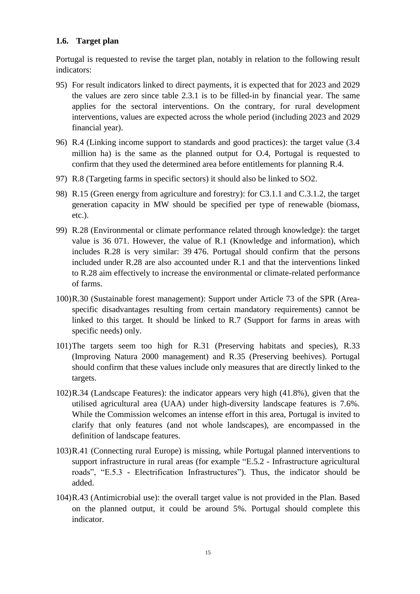## **1.6. Target plan**

Portugal is requested to revise the target plan, notably in relation to the following result indicators:

- 95) For result indicators linked to direct payments, it is expected that for 2023 and 2029 the values are zero since table 2.3.1 is to be filled-in by financial year. The same applies for the sectoral interventions. On the contrary, for rural development interventions, values are expected across the whole period (including 2023 and 2029 financial year).
- 96) R.4 (Linking income support to standards and good practices): the target value (3.4 million ha) is the same as the planned output for O.4, Portugal is requested to confirm that they used the determined area before entitlements for planning R.4.
- 97) R.8 (Targeting farms in specific sectors) it should also be linked to SO2.
- 98) R.15 (Green energy from agriculture and forestry): for C3.1.1 and C.3.1.2, the target generation capacity in MW should be specified per type of renewable (biomass, etc.).
- 99) R.28 (Environmental or climate performance related through knowledge): the target value is 36 071. However, the value of R.1 (Knowledge and information), which includes R.28 is very similar: 39 476. Portugal should confirm that the persons included under R.28 are also accounted under R.1 and that the interventions linked to R.28 aim effectively to increase the environmental or climate-related performance of farms.
- 100)R.30 (Sustainable forest management): Support under Article 73 of the SPR (Areaspecific disadvantages resulting from certain mandatory requirements) cannot be linked to this target. It should be linked to R.7 (Support for farms in areas with specific needs) only.
- 101)The targets seem too high for R.31 (Preserving habitats and species), R.33 (Improving Natura 2000 management) and R.35 (Preserving beehives). Portugal should confirm that these values include only measures that are directly linked to the targets.
- 102)R.34 (Landscape Features): the indicator appears very high (41.8%), given that the utilised agricultural area (UAA) under high-diversity landscape features is 7.6%. While the Commission welcomes an intense effort in this area, Portugal is invited to clarify that only features (and not whole landscapes), are encompassed in the definition of landscape features.
- 103)R.41 (Connecting rural Europe) is missing, while Portugal planned interventions to support infrastructure in rural areas (for example "E.5.2 - Infrastructure agricultural roads", "E.5.3 - Electrification Infrastructures"). Thus, the indicator should be added.
- 104)R.43 (Antimicrobial use): the overall target value is not provided in the Plan. Based on the planned output, it could be around 5%. Portugal should complete this indicator.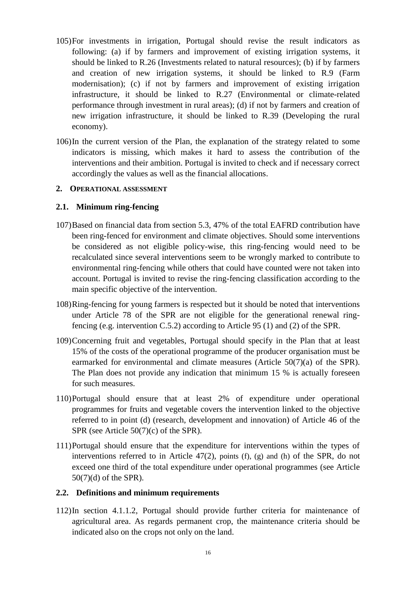- 105)For investments in irrigation, Portugal should revise the result indicators as following: (a) if by farmers and improvement of existing irrigation systems, it should be linked to R.26 (Investments related to natural resources); (b) if by farmers and creation of new irrigation systems, it should be linked to R.9 (Farm modernisation); (c) if not by farmers and improvement of existing irrigation infrastructure, it should be linked to R.27 (Environmental or climate-related performance through investment in rural areas); (d) if not by farmers and creation of new irrigation infrastructure, it should be linked to R.39 (Developing the rural economy).
- 106)In the current version of the Plan, the explanation of the strategy related to some indicators is missing, which makes it hard to assess the contribution of the interventions and their ambition. Portugal is invited to check and if necessary correct accordingly the values as well as the financial allocations.

#### **2. OPERATIONAL ASSESSMENT**

## **2.1. Minimum ring-fencing**

- 107)Based on financial data from section 5.3, 47% of the total EAFRD contribution have been ring-fenced for environment and climate objectives. Should some interventions be considered as not eligible policy-wise, this ring-fencing would need to be recalculated since several interventions seem to be wrongly marked to contribute to environmental ring-fencing while others that could have counted were not taken into account. Portugal is invited to revise the ring-fencing classification according to the main specific objective of the intervention.
- 108)Ring-fencing for young farmers is respected but it should be noted that interventions under Article 78 of the SPR are not eligible for the generational renewal ringfencing (e.g. intervention C.5.2) according to Article 95 (1) and (2) of the SPR.
- 109)Concerning fruit and vegetables, Portugal should specify in the Plan that at least 15% of the costs of the operational programme of the producer organisation must be earmarked for environmental and climate measures (Article 50(7)(a) of the SPR). The Plan does not provide any indication that minimum 15 % is actually foreseen for such measures.
- 110)Portugal should ensure that at least 2% of expenditure under operational programmes for fruits and vegetable covers the intervention linked to the objective referred to in point (d) (research, development and innovation) of Article 46 of the SPR (see Article 50(7)(c) of the SPR).
- 111)Portugal should ensure that the expenditure for interventions within the types of interventions referred to in Article 47(2), points (f), (g) and (h) of the SPR, do not exceed one third of the total expenditure under operational programmes (see Article 50(7)(d) of the SPR).

#### **2.2. Definitions and minimum requirements**

112)In section 4.1.1.2, Portugal should provide further criteria for maintenance of agricultural area. As regards permanent crop, the maintenance criteria should be indicated also on the crops not only on the land.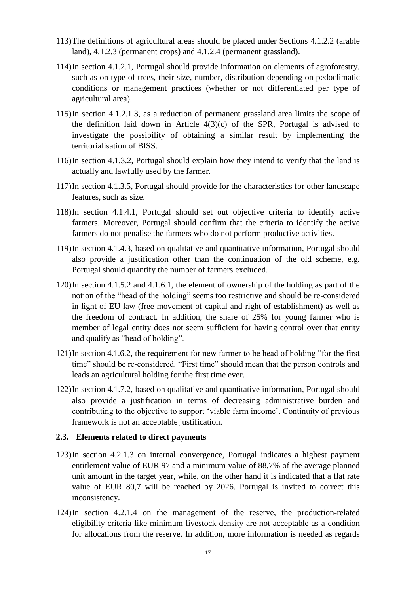- 113)The definitions of agricultural areas should be placed under Sections 4.1.2.2 (arable land), 4.1.2.3 (permanent crops) and 4.1.2.4 (permanent grassland).
- 114)In section 4.1.2.1, Portugal should provide information on elements of agroforestry, such as on type of trees, their size, number, distribution depending on pedoclimatic conditions or management practices (whether or not differentiated per type of agricultural area).
- 115)In section 4.1.2.1.3, as a reduction of permanent grassland area limits the scope of the definition laid down in Article 4(3)(c) of the SPR, Portugal is advised to investigate the possibility of obtaining a similar result by implementing the territorialisation of BISS.
- 116)In section 4.1.3.2, Portugal should explain how they intend to verify that the land is actually and lawfully used by the farmer.
- 117)In section 4.1.3.5, Portugal should provide for the characteristics for other landscape features, such as size.
- 118)In section 4.1.4.1, Portugal should set out objective criteria to identify active farmers. Moreover, Portugal should confirm that the criteria to identify the active farmers do not penalise the farmers who do not perform productive activities.
- 119)In section 4.1.4.3, based on qualitative and quantitative information, Portugal should also provide a justification other than the continuation of the old scheme, e.g. Portugal should quantify the number of farmers excluded.
- 120)In section 4.1.5.2 and 4.1.6.1, the element of ownership of the holding as part of the notion of the "head of the holding" seems too restrictive and should be re-considered in light of EU law (free movement of capital and right of establishment) as well as the freedom of contract. In addition, the share of 25% for young farmer who is member of legal entity does not seem sufficient for having control over that entity and qualify as "head of holding".
- 121)In section 4.1.6.2, the requirement for new farmer to be head of holding "for the first time" should be re-considered. "First time" should mean that the person controls and leads an agricultural holding for the first time ever.
- 122)In section 4.1.7.2, based on qualitative and quantitative information, Portugal should also provide a justification in terms of decreasing administrative burden and contributing to the objective to support 'viable farm income'. Continuity of previous framework is not an acceptable justification.

#### **2.3. Elements related to direct payments**

- 123)In section 4.2.1.3 on internal convergence, Portugal indicates a highest payment entitlement value of EUR 97 and a minimum value of 88,7% of the average planned unit amount in the target year, while, on the other hand it is indicated that a flat rate value of EUR 80,7 will be reached by 2026. Portugal is invited to correct this inconsistency.
- 124)In section 4.2.1.4 on the management of the reserve, the production-related eligibility criteria like minimum livestock density are not acceptable as a condition for allocations from the reserve. In addition, more information is needed as regards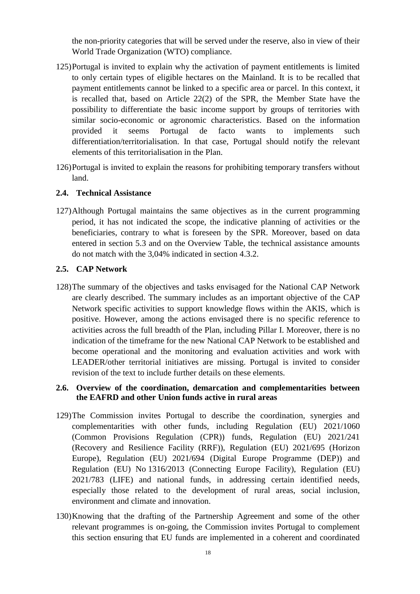the non-priority categories that will be served under the reserve, also in view of their World Trade Organization (WTO) compliance.

- 125)Portugal is invited to explain why the activation of payment entitlements is limited to only certain types of eligible hectares on the Mainland. It is to be recalled that payment entitlements cannot be linked to a specific area or parcel. In this context, it is recalled that, based on Article 22(2) of the SPR, the Member State have the possibility to differentiate the basic income support by groups of territories with similar socio-economic or agronomic characteristics. Based on the information provided it seems Portugal de facto wants to implements such differentiation/territorialisation. In that case, Portugal should notify the relevant elements of this territorialisation in the Plan.
- 126)Portugal is invited to explain the reasons for prohibiting temporary transfers without land.

#### **2.4. Technical Assistance**

127)Although Portugal maintains the same objectives as in the current programming period, it has not indicated the scope, the indicative planning of activities or the beneficiaries, contrary to what is foreseen by the SPR. Moreover, based on data entered in section 5.3 and on the Overview Table, the technical assistance amounts do not match with the 3,04% indicated in section 4.3.2.

#### **2.5. CAP Network**

128)The summary of the objectives and tasks envisaged for the National CAP Network are clearly described. The summary includes as an important objective of the CAP Network specific activities to support knowledge flows within the AKIS, which is positive. However, among the actions envisaged there is no specific reference to activities across the full breadth of the Plan, including Pillar I. Moreover, there is no indication of the timeframe for the new National CAP Network to be established and become operational and the monitoring and evaluation activities and work with LEADER/other territorial initiatives are missing. Portugal is invited to consider revision of the text to include further details on these elements.

## **2.6. Overview of the coordination, demarcation and complementarities between the EAFRD and other Union funds active in rural areas**

- 129)The Commission invites Portugal to describe the coordination, synergies and complementarities with other funds, including Regulation (EU) 2021/1060 (Common Provisions Regulation (CPR)) funds, Regulation (EU) 2021/241 (Recovery and Resilience Facility (RRF)), Regulation (EU) 2021/695 (Horizon Europe), Regulation (EU) 2021/694 (Digital Europe Programme (DEP)) and Regulation (EU) No 1316/2013 (Connecting Europe Facility), Regulation (EU) 2021/783 (LIFE) and national funds, in addressing certain identified needs, especially those related to the development of rural areas, social inclusion, environment and climate and innovation.
- 130)Knowing that the drafting of the Partnership Agreement and some of the other relevant programmes is on-going, the Commission invites Portugal to complement this section ensuring that EU funds are implemented in a coherent and coordinated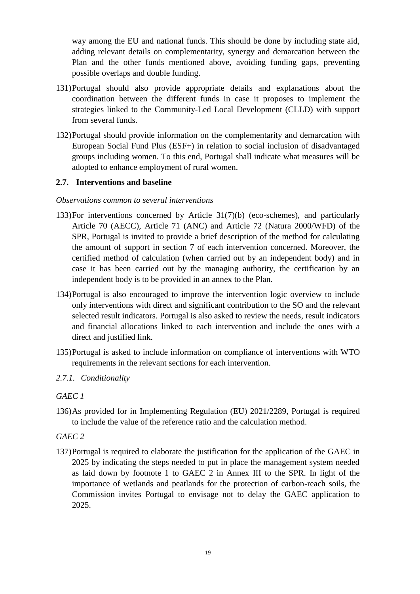way among the EU and national funds. This should be done by including state aid, adding relevant details on complementarity, synergy and demarcation between the Plan and the other funds mentioned above, avoiding funding gaps, preventing possible overlaps and double funding.

- 131)Portugal should also provide appropriate details and explanations about the coordination between the different funds in case it proposes to implement the strategies linked to the Community-Led Local Development (CLLD) with support from several funds.
- 132)Portugal should provide information on the complementarity and demarcation with European Social Fund Plus (ESF+) in relation to social inclusion of disadvantaged groups including women. To this end, Portugal shall indicate what measures will be adopted to enhance employment of rural women.

## **2.7. Interventions and baseline**

#### *Observations common to several interventions*

- 133)For interventions concerned by Article 31(7)(b) (eco-schemes), and particularly Article 70 (AECC), Article 71 (ANC) and Article 72 (Natura 2000/WFD) of the SPR, Portugal is invited to provide a brief description of the method for calculating the amount of support in section 7 of each intervention concerned. Moreover, the certified method of calculation (when carried out by an independent body) and in case it has been carried out by the managing authority, the certification by an independent body is to be provided in an annex to the Plan.
- 134)Portugal is also encouraged to improve the intervention logic overview to include only interventions with direct and significant contribution to the SO and the relevant selected result indicators. Portugal is also asked to review the needs, result indicators and financial allocations linked to each intervention and include the ones with a direct and justified link.
- 135)Portugal is asked to include information on compliance of interventions with WTO requirements in the relevant sections for each intervention.
- *2.7.1. Conditionality*

#### *GAEC 1*

136)As provided for in Implementing Regulation (EU) 2021/2289, Portugal is required to include the value of the reference ratio and the calculation method.

#### *GAEC 2*

137)Portugal is required to elaborate the justification for the application of the GAEC in 2025 by indicating the steps needed to put in place the management system needed as laid down by footnote 1 to GAEC 2 in Annex III to the SPR. In light of the importance of wetlands and peatlands for the protection of carbon-reach soils, the Commission invites Portugal to envisage not to delay the GAEC application to 2025.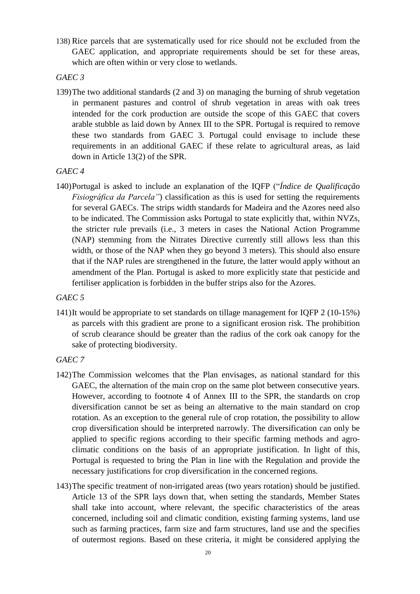138) Rice parcels that are systematically used for rice should not be excluded from the GAEC application, and appropriate requirements should be set for these areas, which are often within or very close to wetlands.

### *GAEC 3*

139)The two additional standards (2 and 3) on managing the burning of shrub vegetation in permanent pastures and control of shrub vegetation in areas with oak trees intended for the cork production are outside the scope of this GAEC that covers arable stubble as laid down by Annex III to the SPR. Portugal is required to remove these two standards from GAEC 3. Portugal could envisage to include these requirements in an additional GAEC if these relate to agricultural areas, as laid down in Article 13(2) of the SPR.

## *GAEC 4*

140)Portugal is asked to include an explanation of the IQFP ("*Índice de Qualificação Fisiográfica da Parcela"*) classification as this is used for setting the requirements for several GAECs. The strips width standards for Madeira and the Azores need also to be indicated. The Commission asks Portugal to state explicitly that, within NVZs, the stricter rule prevails (i.e., 3 meters in cases the National Action Programme (NAP) stemming from the Nitrates Directive currently still allows less than this width, or those of the NAP when they go beyond 3 meters). This should also ensure that if the NAP rules are strengthened in the future, the latter would apply without an amendment of the Plan. Portugal is asked to more explicitly state that pesticide and fertiliser application is forbidden in the buffer strips also for the Azores.

### *GAEC 5*

141)It would be appropriate to set standards on tillage management for IQFP 2 (10-15%) as parcels with this gradient are prone to a significant erosion risk. The prohibition of scrub clearance should be greater than the radius of the cork oak canopy for the sake of protecting biodiversity.

## *GAEC 7*

- 142)The Commission welcomes that the Plan envisages, as national standard for this GAEC, the alternation of the main crop on the same plot between consecutive years. However, according to footnote 4 of Annex III to the SPR, the standards on crop diversification cannot be set as being an alternative to the main standard on crop rotation. As an exception to the general rule of crop rotation, the possibility to allow crop diversification should be interpreted narrowly. The diversification can only be applied to specific regions according to their specific farming methods and agroclimatic conditions on the basis of an appropriate justification. In light of this, Portugal is requested to bring the Plan in line with the Regulation and provide the necessary justifications for crop diversification in the concerned regions.
- 143)The specific treatment of non-irrigated areas (two years rotation) should be justified. Article 13 of the SPR lays down that, when setting the standards, Member States shall take into account, where relevant, the specific characteristics of the areas concerned, including soil and climatic condition, existing farming systems, land use such as farming practices, farm size and farm structures, land use and the specifies of outermost regions. Based on these criteria, it might be considered applying the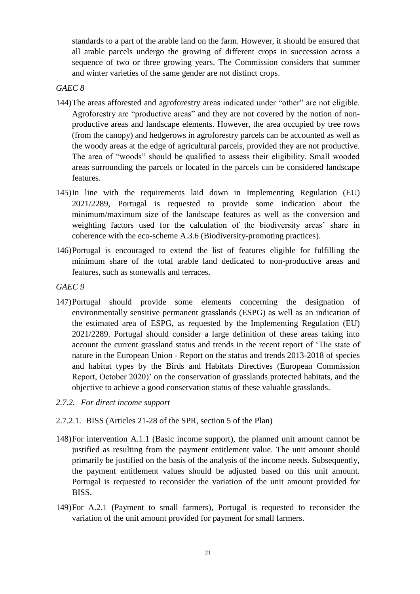standards to a part of the arable land on the farm. However, it should be ensured that all arable parcels undergo the growing of different crops in succession across a sequence of two or three growing years. The Commission considers that summer and winter varieties of the same gender are not distinct crops.

## *GAEC 8*

- 144)The areas afforested and agroforestry areas indicated under "other" are not eligible. Agroforestry are "productive areas" and they are not covered by the notion of nonproductive areas and landscape elements. However, the area occupied by tree rows (from the canopy) and hedgerows in agroforestry parcels can be accounted as well as the woody areas at the edge of agricultural parcels, provided they are not productive. The area of "woods" should be qualified to assess their eligibility. Small wooded areas surrounding the parcels or located in the parcels can be considered landscape features.
- 145)In line with the requirements laid down in Implementing Regulation (EU) 2021/2289, Portugal is requested to provide some indication about the minimum/maximum size of the landscape features as well as the conversion and weighting factors used for the calculation of the biodiversity areas' share in coherence with the eco-scheme A.3.6 (Biodiversity-promoting practices).
- 146)Portugal is encouraged to extend the list of features eligible for fulfilling the minimum share of the total arable land dedicated to non-productive areas and features, such as stonewalls and terraces.
- *GAEC 9*
- 147)Portugal should provide some elements concerning the designation of environmentally sensitive permanent grasslands (ESPG) as well as an indication of the estimated area of ESPG, as requested by the Implementing Regulation (EU) 2021/2289. Portugal should consider a large definition of these areas taking into account the current grassland status and trends in the recent report of 'The state of nature in the European Union - Report on the status and trends 2013-2018 of species and habitat types by the Birds and Habitats Directives (European Commission Report, October 2020)' on the conservation of grasslands protected habitats, and the objective to achieve a good conservation status of these valuable grasslands.
- *2.7.2. For direct income support*
- 2.7.2.1. BISS (Articles 21-28 of the SPR, section 5 of the Plan)
- 148)For intervention A.1.1 (Basic income support), the planned unit amount cannot be justified as resulting from the payment entitlement value. The unit amount should primarily be justified on the basis of the analysis of the income needs. Subsequently, the payment entitlement values should be adjusted based on this unit amount. Portugal is requested to reconsider the variation of the unit amount provided for BISS.
- 149)For A.2.1 (Payment to small farmers), Portugal is requested to reconsider the variation of the unit amount provided for payment for small farmers.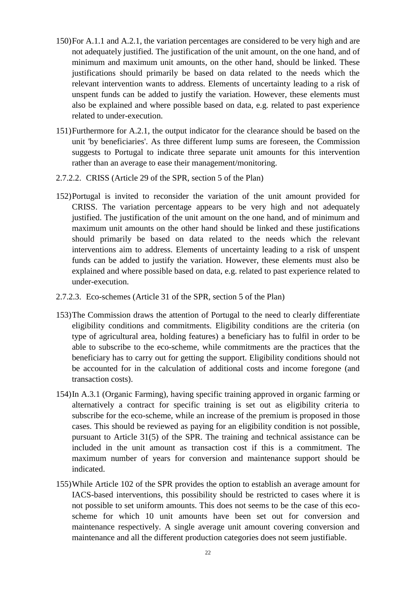- 150)For A.1.1 and A.2.1, the variation percentages are considered to be very high and are not adequately justified. The justification of the unit amount, on the one hand, and of minimum and maximum unit amounts, on the other hand, should be linked. These justifications should primarily be based on data related to the needs which the relevant intervention wants to address. Elements of uncertainty leading to a risk of unspent funds can be added to justify the variation. However, these elements must also be explained and where possible based on data, e.g. related to past experience related to under-execution.
- 151)Furthermore for A.2.1, the output indicator for the clearance should be based on the unit 'by beneficiaries'. As three different lump sums are foreseen, the Commission suggests to Portugal to indicate three separate unit amounts for this intervention rather than an average to ease their management/monitoring.
- 2.7.2.2. CRISS (Article 29 of the SPR, section 5 of the Plan)
- 152)Portugal is invited to reconsider the variation of the unit amount provided for CRISS. The variation percentage appears to be very high and not adequately justified. The justification of the unit amount on the one hand, and of minimum and maximum unit amounts on the other hand should be linked and these justifications should primarily be based on data related to the needs which the relevant interventions aim to address. Elements of uncertainty leading to a risk of unspent funds can be added to justify the variation. However, these elements must also be explained and where possible based on data, e.g. related to past experience related to under-execution.
- 2.7.2.3. Eco-schemes (Article 31 of the SPR, section 5 of the Plan)
- 153)The Commission draws the attention of Portugal to the need to clearly differentiate eligibility conditions and commitments. Eligibility conditions are the criteria (on type of agricultural area, holding features) a beneficiary has to fulfil in order to be able to subscribe to the eco-scheme, while commitments are the practices that the beneficiary has to carry out for getting the support. Eligibility conditions should not be accounted for in the calculation of additional costs and income foregone (and transaction costs).
- 154)In A.3.1 (Organic Farming), having specific training approved in organic farming or alternatively a contract for specific training is set out as eligibility criteria to subscribe for the eco-scheme, while an increase of the premium is proposed in those cases. This should be reviewed as paying for an eligibility condition is not possible, pursuant to Article 31(5) of the SPR. The training and technical assistance can be included in the unit amount as transaction cost if this is a commitment. The maximum number of years for conversion and maintenance support should be indicated.
- 155)While Article 102 of the SPR provides the option to establish an average amount for IACS-based interventions, this possibility should be restricted to cases where it is not possible to set uniform amounts. This does not seems to be the case of this ecoscheme for which 10 unit amounts have been set out for conversion and maintenance respectively. A single average unit amount covering conversion and maintenance and all the different production categories does not seem justifiable.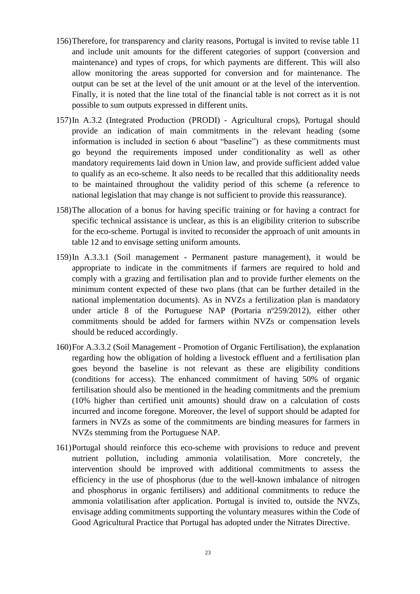- 156)Therefore, for transparency and clarity reasons, Portugal is invited to revise table 11 and include unit amounts for the different categories of support (conversion and maintenance) and types of crops, for which payments are different. This will also allow monitoring the areas supported for conversion and for maintenance. The output can be set at the level of the unit amount or at the level of the intervention. Finally, it is noted that the line total of the financial table is not correct as it is not possible to sum outputs expressed in different units.
- 157)In A.3.2 (Integrated Production (PRODI) Agricultural crops), Portugal should provide an indication of main commitments in the relevant heading (some information is included in section 6 about "baseline") as these commitments must go beyond the requirements imposed under conditionality as well as other mandatory requirements laid down in Union law, and provide sufficient added value to qualify as an eco-scheme. It also needs to be recalled that this additionality needs to be maintained throughout the validity period of this scheme (a reference to national legislation that may change is not sufficient to provide this reassurance).
- 158)The allocation of a bonus for having specific training or for having a contract for specific technical assistance is unclear, as this is an eligibility criterion to subscribe for the eco-scheme. Portugal is invited to reconsider the approach of unit amounts in table 12 and to envisage setting uniform amounts.
- 159)In A.3.3.1 (Soil management Permanent pasture management), it would be appropriate to indicate in the commitments if farmers are required to hold and comply with a grazing and fertilisation plan and to provide further elements on the minimum content expected of these two plans (that can be further detailed in the national implementation documents). As in NVZs a fertilization plan is mandatory under article 8 of the Portuguese NAP (Portaria nº259/2012), either other commitments should be added for farmers within NVZs or compensation levels should be reduced accordingly.
- 160)For A.3.3.2 (Soil Management Promotion of Organic Fertilisation), the explanation regarding how the obligation of holding a livestock effluent and a fertilisation plan goes beyond the baseline is not relevant as these are eligibility conditions (conditions for access). The enhanced commitment of having 50% of organic fertilisation should also be mentioned in the heading commitments and the premium (10% higher than certified unit amounts) should draw on a calculation of costs incurred and income foregone. Moreover, the level of support should be adapted for farmers in NVZs as some of the commitments are binding measures for farmers in NVZs stemming from the Portuguese NAP.
- 161)Portugal should reinforce this eco-scheme with provisions to reduce and prevent nutrient pollution, including ammonia volatilisation. More concretely, the intervention should be improved with additional commitments to assess the efficiency in the use of phosphorus (due to the well-known imbalance of nitrogen and phosphorus in organic fertilisers) and additional commitments to reduce the ammonia volatilisation after application. Portugal is invited to, outside the NVZs, envisage adding commitments supporting the voluntary measures within the Code of Good Agricultural Practice that Portugal has adopted under the Nitrates Directive.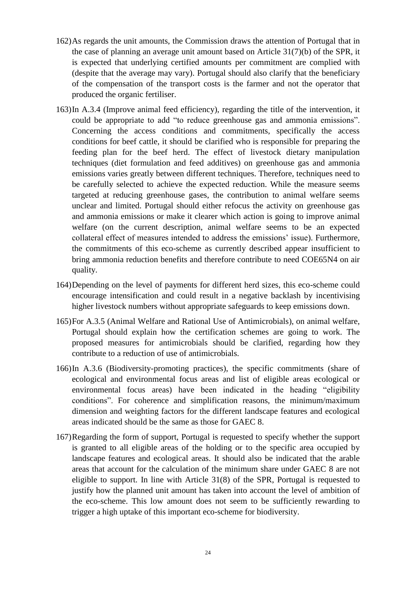- 162)As regards the unit amounts, the Commission draws the attention of Portugal that in the case of planning an average unit amount based on Article 31(7)(b) of the SPR, it is expected that underlying certified amounts per commitment are complied with (despite that the average may vary). Portugal should also clarify that the beneficiary of the compensation of the transport costs is the farmer and not the operator that produced the organic fertiliser.
- 163)In A.3.4 (Improve animal feed efficiency), regarding the title of the intervention, it could be appropriate to add "to reduce greenhouse gas and ammonia emissions". Concerning the access conditions and commitments, specifically the access conditions for beef cattle, it should be clarified who is responsible for preparing the feeding plan for the beef herd. The effect of livestock dietary manipulation techniques (diet formulation and feed additives) on greenhouse gas and ammonia emissions varies greatly between different techniques. Therefore, techniques need to be carefully selected to achieve the expected reduction. While the measure seems targeted at reducing greenhouse gases, the contribution to animal welfare seems unclear and limited. Portugal should either refocus the activity on greenhouse gas and ammonia emissions or make it clearer which action is going to improve animal welfare (on the current description, animal welfare seems to be an expected collateral effect of measures intended to address the emissions' issue). Furthermore, the commitments of this eco-scheme as currently described appear insufficient to bring ammonia reduction benefits and therefore contribute to need COE65N4 on air quality.
- 164)Depending on the level of payments for different herd sizes, this eco-scheme could encourage intensification and could result in a negative backlash by incentivising higher livestock numbers without appropriate safeguards to keep emissions down.
- 165)For A.3.5 (Animal Welfare and Rational Use of Antimicrobials), on animal welfare, Portugal should explain how the certification schemes are going to work. The proposed measures for antimicrobials should be clarified, regarding how they contribute to a reduction of use of antimicrobials.
- 166)In A.3.6 (Biodiversity-promoting practices), the specific commitments (share of ecological and environmental focus areas and list of eligible areas ecological or environmental focus areas) have been indicated in the heading "eligibility conditions". For coherence and simplification reasons, the minimum/maximum dimension and weighting factors for the different landscape features and ecological areas indicated should be the same as those for GAEC 8.
- 167)Regarding the form of support, Portugal is requested to specify whether the support is granted to all eligible areas of the holding or to the specific area occupied by landscape features and ecological areas. It should also be indicated that the arable areas that account for the calculation of the minimum share under GAEC 8 are not eligible to support. In line with Article 31(8) of the SPR, Portugal is requested to justify how the planned unit amount has taken into account the level of ambition of the eco-scheme. This low amount does not seem to be sufficiently rewarding to trigger a high uptake of this important eco-scheme for biodiversity.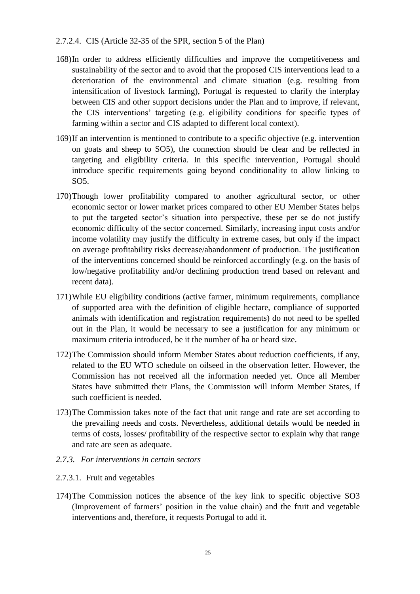#### 2.7.2.4. CIS (Article 32-35 of the SPR, section 5 of the Plan)

- 168)In order to address efficiently difficulties and improve the competitiveness and sustainability of the sector and to avoid that the proposed CIS interventions lead to a deterioration of the environmental and climate situation (e.g. resulting from intensification of livestock farming), Portugal is requested to clarify the interplay between CIS and other support decisions under the Plan and to improve, if relevant, the CIS interventions' targeting (e.g. eligibility conditions for specific types of farming within a sector and CIS adapted to different local context).
- 169)If an intervention is mentioned to contribute to a specific objective (e.g. intervention on goats and sheep to SO5), the connection should be clear and be reflected in targeting and eligibility criteria. In this specific intervention, Portugal should introduce specific requirements going beyond conditionality to allow linking to SO5.
- 170)Though lower profitability compared to another agricultural sector, or other economic sector or lower market prices compared to other EU Member States helps to put the targeted sector's situation into perspective, these per se do not justify economic difficulty of the sector concerned. Similarly, increasing input costs and/or income volatility may justify the difficulty in extreme cases, but only if the impact on average profitability risks decrease/abandonment of production. The justification of the interventions concerned should be reinforced accordingly (e.g. on the basis of low/negative profitability and/or declining production trend based on relevant and recent data).
- 171)While EU eligibility conditions (active farmer, minimum requirements, compliance of supported area with the definition of eligible hectare, compliance of supported animals with identification and registration requirements) do not need to be spelled out in the Plan, it would be necessary to see a justification for any minimum or maximum criteria introduced, be it the number of ha or heard size.
- 172)The Commission should inform Member States about reduction coefficients, if any, related to the EU WTO schedule on oilseed in the observation letter. However, the Commission has not received all the information needed yet. Once all Member States have submitted their Plans, the Commission will inform Member States, if such coefficient is needed.
- 173)The Commission takes note of the fact that unit range and rate are set according to the prevailing needs and costs. Nevertheless, additional details would be needed in terms of costs, losses/ profitability of the respective sector to explain why that range and rate are seen as adequate.
- *2.7.3. For interventions in certain sectors*

#### 2.7.3.1. Fruit and vegetables

174)The Commission notices the absence of the key link to specific objective SO3 (Improvement of farmers' position in the value chain) and the fruit and vegetable interventions and, therefore, it requests Portugal to add it.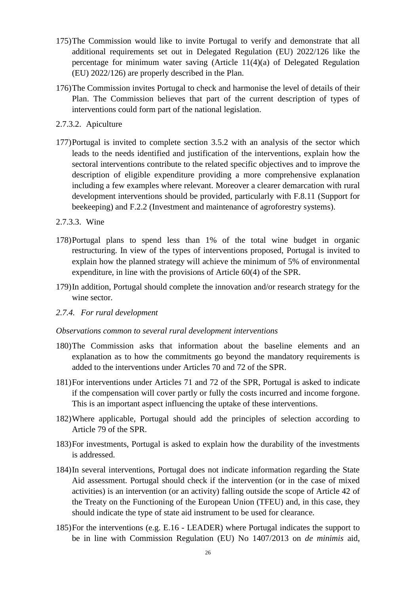- 175)The Commission would like to invite Portugal to verify and demonstrate that all additional requirements set out in Delegated Regulation (EU) 2022/126 like the percentage for minimum water saving (Article 11(4)(a) of Delegated Regulation (EU) 2022/126) are properly described in the Plan.
- 176)The Commission invites Portugal to check and harmonise the level of details of their Plan. The Commission believes that part of the current description of types of interventions could form part of the national legislation.
- 2.7.3.2. Apiculture
- 177)Portugal is invited to complete section 3.5.2 with an analysis of the sector which leads to the needs identified and justification of the interventions, explain how the sectoral interventions contribute to the related specific objectives and to improve the description of eligible expenditure providing a more comprehensive explanation including a few examples where relevant. Moreover a clearer demarcation with rural development interventions should be provided, particularly with F.8.11 (Support for beekeeping) and F.2.2 (Investment and maintenance of agroforestry systems).
- 2.7.3.3. Wine
- 178)Portugal plans to spend less than 1% of the total wine budget in organic restructuring. In view of the types of interventions proposed, Portugal is invited to explain how the planned strategy will achieve the minimum of 5% of environmental expenditure, in line with the provisions of Article 60(4) of the SPR.
- 179)In addition, Portugal should complete the innovation and/or research strategy for the wine sector.
- *2.7.4. For rural development*

#### *Observations common to several rural development interventions*

- 180)The Commission asks that information about the baseline elements and an explanation as to how the commitments go beyond the mandatory requirements is added to the interventions under Articles 70 and 72 of the SPR.
- 181)For interventions under Articles 71 and 72 of the SPR, Portugal is asked to indicate if the compensation will cover partly or fully the costs incurred and income forgone. This is an important aspect influencing the uptake of these interventions.
- 182)Where applicable, Portugal should add the principles of selection according to Article 79 of the SPR.
- 183)For investments, Portugal is asked to explain how the durability of the investments is addressed.
- 184)In several interventions, Portugal does not indicate information regarding the State Aid assessment. Portugal should check if the intervention (or in the case of mixed activities) is an intervention (or an activity) falling outside the scope of Article 42 of the Treaty on the Functioning of the European Union (TFEU) and, in this case, they should indicate the type of state aid instrument to be used for clearance.
- 185)For the interventions (e.g. E.16 LEADER) where Portugal indicates the support to be in line with Commission Regulation (EU) No 1407/2013 on *de minimis* aid,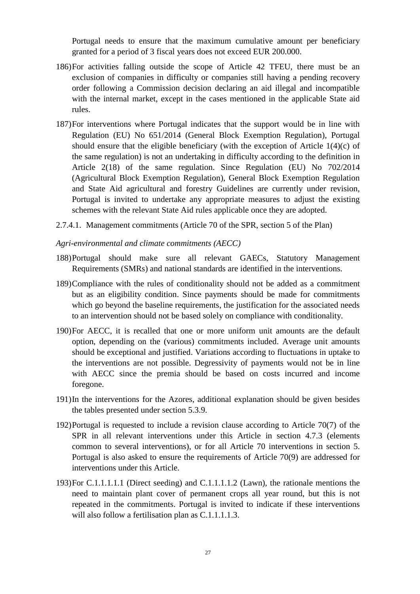Portugal needs to ensure that the maximum cumulative amount per beneficiary granted for a period of 3 fiscal years does not exceed EUR 200.000.

- 186)For activities falling outside the scope of Article 42 TFEU, there must be an exclusion of companies in difficulty or companies still having a pending recovery order following a Commission decision declaring an aid illegal and incompatible with the internal market, except in the cases mentioned in the applicable State aid rules.
- 187)For interventions where Portugal indicates that the support would be in line with Regulation (EU) No 651/2014 (General Block Exemption Regulation), Portugal should ensure that the eligible beneficiary (with the exception of Article 1(4)(c) of the same regulation) is not an undertaking in difficulty according to the definition in Article 2(18) of the same regulation. Since Regulation (EU) No 702/2014 (Agricultural Block Exemption Regulation), General Block Exemption Regulation and State Aid agricultural and forestry Guidelines are currently under revision, Portugal is invited to undertake any appropriate measures to adjust the existing schemes with the relevant State Aid rules applicable once they are adopted.
- 2.7.4.1. Management commitments (Article 70 of the SPR, section 5 of the Plan)

#### *Agri-environmental and climate commitments (AECC)*

- 188)Portugal should make sure all relevant GAECs, Statutory Management Requirements (SMRs) and national standards are identified in the interventions.
- 189)Compliance with the rules of conditionality should not be added as a commitment but as an eligibility condition. Since payments should be made for commitments which go beyond the baseline requirements, the justification for the associated needs to an intervention should not be based solely on compliance with conditionality.
- 190)For AECC, it is recalled that one or more uniform unit amounts are the default option, depending on the (various) commitments included. Average unit amounts should be exceptional and justified. Variations according to fluctuations in uptake to the interventions are not possible. Degressivity of payments would not be in line with AECC since the premia should be based on costs incurred and income foregone.
- 191)In the interventions for the Azores, additional explanation should be given besides the tables presented under section 5.3.9.
- 192)Portugal is requested to include a revision clause according to Article 70(7) of the SPR in all relevant interventions under this Article in section 4.7.3 (elements common to several interventions), or for all Article 70 interventions in section 5. Portugal is also asked to ensure the requirements of Article 70(9) are addressed for interventions under this Article.
- 193)For C.1.1.1.1.1 (Direct seeding) and C.1.1.1.1.2 (Lawn), the rationale mentions the need to maintain plant cover of permanent crops all year round, but this is not repeated in the commitments. Portugal is invited to indicate if these interventions will also follow a fertilisation plan as C.1.1.1.1.3.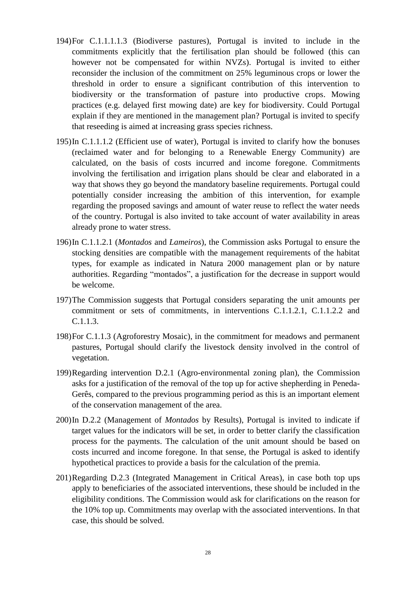- 194)For C.1.1.1.1.3 (Biodiverse pastures), Portugal is invited to include in the commitments explicitly that the fertilisation plan should be followed (this can however not be compensated for within NVZs). Portugal is invited to either reconsider the inclusion of the commitment on 25% leguminous crops or lower the threshold in order to ensure a significant contribution of this intervention to biodiversity or the transformation of pasture into productive crops. Mowing practices (e.g. delayed first mowing date) are key for biodiversity. Could Portugal explain if they are mentioned in the management plan? Portugal is invited to specify that reseeding is aimed at increasing grass species richness.
- 195)In C.1.1.1.2 (Efficient use of water), Portugal is invited to clarify how the bonuses (reclaimed water and for belonging to a Renewable Energy Community) are calculated, on the basis of costs incurred and income foregone. Commitments involving the fertilisation and irrigation plans should be clear and elaborated in a way that shows they go beyond the mandatory baseline requirements. Portugal could potentially consider increasing the ambition of this intervention, for example regarding the proposed savings and amount of water reuse to reflect the water needs of the country. Portugal is also invited to take account of water availability in areas already prone to water stress.
- 196)In C.1.1.2.1 (*Montados* and *Lameiros*), the Commission asks Portugal to ensure the stocking densities are compatible with the management requirements of the habitat types, for example as indicated in Natura 2000 management plan or by nature authorities. Regarding "montados", a justification for the decrease in support would be welcome.
- 197)The Commission suggests that Portugal considers separating the unit amounts per commitment or sets of commitments, in interventions C.1.1.2.1, C.1.1.2.2 and C.1.1.3.
- 198)For C.1.1.3 (Agroforestry Mosaic), in the commitment for meadows and permanent pastures, Portugal should clarify the livestock density involved in the control of vegetation.
- 199)Regarding intervention D.2.1 (Agro-environmental zoning plan), the Commission asks for a justification of the removal of the top up for active shepherding in Peneda-Gerês, compared to the previous programming period as this is an important element of the conservation management of the area.
- 200)In D.2.2 (Management of *Montados* by Results), Portugal is invited to indicate if target values for the indicators will be set, in order to better clarify the classification process for the payments. The calculation of the unit amount should be based on costs incurred and income foregone. In that sense, the Portugal is asked to identify hypothetical practices to provide a basis for the calculation of the premia.
- 201)Regarding D.2.3 (Integrated Management in Critical Areas), in case both top ups apply to beneficiaries of the associated interventions, these should be included in the eligibility conditions. The Commission would ask for clarifications on the reason for the 10% top up. Commitments may overlap with the associated interventions. In that case, this should be solved.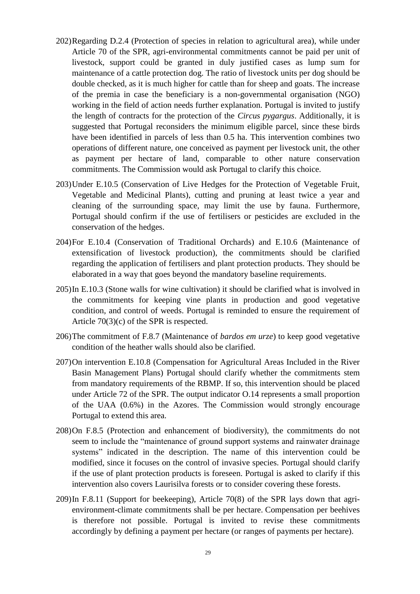- 202)Regarding D.2.4 (Protection of species in relation to agricultural area), while under Article 70 of the SPR, agri-environmental commitments cannot be paid per unit of livestock, support could be granted in duly justified cases as lump sum for maintenance of a cattle protection dog. The ratio of livestock units per dog should be double checked, as it is much higher for cattle than for sheep and goats. The increase of the premia in case the beneficiary is a non-governmental organisation (NGO) working in the field of action needs further explanation. Portugal is invited to justify the length of contracts for the protection of the *Circus pygargus*. Additionally, it is suggested that Portugal reconsiders the minimum eligible parcel, since these birds have been identified in parcels of less than 0.5 ha. This intervention combines two operations of different nature, one conceived as payment per livestock unit, the other as payment per hectare of land, comparable to other nature conservation commitments. The Commission would ask Portugal to clarify this choice.
- 203)Under E.10.5 (Conservation of Live Hedges for the Protection of Vegetable Fruit, Vegetable and Medicinal Plants), cutting and pruning at least twice a year and cleaning of the surrounding space, may limit the use by fauna. Furthermore, Portugal should confirm if the use of fertilisers or pesticides are excluded in the conservation of the hedges.
- 204)For E.10.4 (Conservation of Traditional Orchards) and E.10.6 (Maintenance of extensification of livestock production), the commitments should be clarified regarding the application of fertilisers and plant protection products. They should be elaborated in a way that goes beyond the mandatory baseline requirements.
- 205)In E.10.3 (Stone walls for wine cultivation) it should be clarified what is involved in the commitments for keeping vine plants in production and good vegetative condition, and control of weeds. Portugal is reminded to ensure the requirement of Article 70(3)(c) of the SPR is respected.
- 206)The commitment of F.8.7 (Maintenance of *bardos em urze*) to keep good vegetative condition of the heather walls should also be clarified.
- 207)On intervention E.10.8 (Compensation for Agricultural Areas Included in the River Basin Management Plans) Portugal should clarify whether the commitments stem from mandatory requirements of the RBMP. If so, this intervention should be placed under Article 72 of the SPR. The output indicator O.14 represents a small proportion of the UAA (0.6%) in the Azores. The Commission would strongly encourage Portugal to extend this area.
- 208)On F.8.5 (Protection and enhancement of biodiversity), the commitments do not seem to include the "maintenance of ground support systems and rainwater drainage systems" indicated in the description. The name of this intervention could be modified, since it focuses on the control of invasive species. Portugal should clarify if the use of plant protection products is foreseen. Portugal is asked to clarify if this intervention also covers Laurisilva forests or to consider covering these forests.
- 209)In F.8.11 (Support for beekeeping), Article 70(8) of the SPR lays down that agrienvironment-climate commitments shall be per hectare. Compensation per beehives is therefore not possible. Portugal is invited to revise these commitments accordingly by defining a payment per hectare (or ranges of payments per hectare).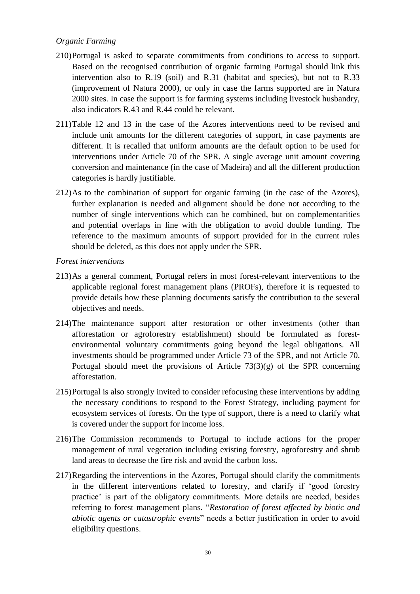# *Organic Farming*

- 210)Portugal is asked to separate commitments from conditions to access to support. Based on the recognised contribution of organic farming Portugal should link this intervention also to R.19 (soil) and R.31 (habitat and species), but not to R.33 (improvement of Natura 2000), or only in case the farms supported are in Natura 2000 sites. In case the support is for farming systems including livestock husbandry, also indicators R.43 and R.44 could be relevant.
- 211)Table 12 and 13 in the case of the Azores interventions need to be revised and include unit amounts for the different categories of support, in case payments are different. It is recalled that uniform amounts are the default option to be used for interventions under Article 70 of the SPR. A single average unit amount covering conversion and maintenance (in the case of Madeira) and all the different production categories is hardly justifiable.
- 212)As to the combination of support for organic farming (in the case of the Azores), further explanation is needed and alignment should be done not according to the number of single interventions which can be combined, but on complementarities and potential overlaps in line with the obligation to avoid double funding. The reference to the maximum amounts of support provided for in the current rules should be deleted, as this does not apply under the SPR.

## *Forest interventions*

- 213)As a general comment, Portugal refers in most forest-relevant interventions to the applicable regional forest management plans (PROFs), therefore it is requested to provide details how these planning documents satisfy the contribution to the several objectives and needs.
- 214)The maintenance support after restoration or other investments (other than afforestation or agroforestry establishment) should be formulated as forestenvironmental voluntary commitments going beyond the legal obligations. All investments should be programmed under Article 73 of the SPR, and not Article 70. Portugal should meet the provisions of Article 73(3)(g) of the SPR concerning afforestation.
- 215)Portugal is also strongly invited to consider refocusing these interventions by adding the necessary conditions to respond to the Forest Strategy, including payment for ecosystem services of forests. On the type of support, there is a need to clarify what is covered under the support for income loss.
- 216)The Commission recommends to Portugal to include actions for the proper management of rural vegetation including existing forestry, agroforestry and shrub land areas to decrease the fire risk and avoid the carbon loss.
- 217)Regarding the interventions in the Azores, Portugal should clarify the commitments in the different interventions related to forestry, and clarify if 'good forestry practice' is part of the obligatory commitments. More details are needed, besides referring to forest management plans. "*Restoration of forest affected by biotic and abiotic agents or catastrophic events*" needs a better justification in order to avoid eligibility questions.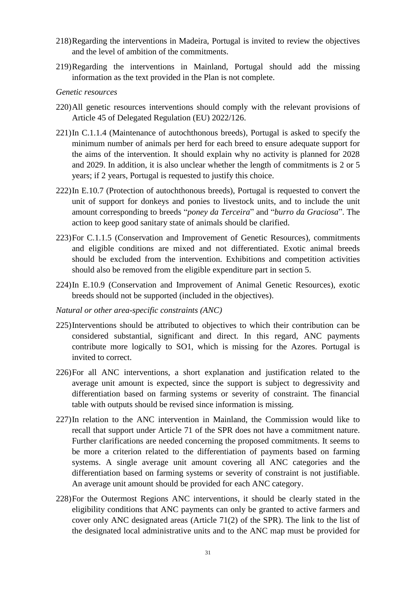- 218)Regarding the interventions in Madeira, Portugal is invited to review the objectives and the level of ambition of the commitments.
- 219)Regarding the interventions in Mainland, Portugal should add the missing information as the text provided in the Plan is not complete.

#### *Genetic resources*

- 220)All genetic resources interventions should comply with the relevant provisions of Article 45 of Delegated Regulation (EU) 2022/126.
- 221)In C.1.1.4 (Maintenance of autochthonous breeds), Portugal is asked to specify the minimum number of animals per herd for each breed to ensure adequate support for the aims of the intervention. It should explain why no activity is planned for 2028 and 2029. In addition, it is also unclear whether the length of commitments is 2 or 5 years; if 2 years, Portugal is requested to justify this choice.
- 222)In E.10.7 (Protection of autochthonous breeds), Portugal is requested to convert the unit of support for donkeys and ponies to livestock units, and to include the unit amount corresponding to breeds "*poney da Terceira*" and "*burro da Graciosa*". The action to keep good sanitary state of animals should be clarified.
- 223)For C.1.1.5 (Conservation and Improvement of Genetic Resources), commitments and eligible conditions are mixed and not differentiated. Exotic animal breeds should be excluded from the intervention. Exhibitions and competition activities should also be removed from the eligible expenditure part in section 5.
- 224)In E.10.9 (Conservation and Improvement of Animal Genetic Resources), exotic breeds should not be supported (included in the objectives).
- *Natural or other area-specific constraints (ANC)*
- 225)Interventions should be attributed to objectives to which their contribution can be considered substantial, significant and direct. In this regard, ANC payments contribute more logically to SO1, which is missing for the Azores. Portugal is invited to correct.
- 226)For all ANC interventions, a short explanation and justification related to the average unit amount is expected, since the support is subject to degressivity and differentiation based on farming systems or severity of constraint. The financial table with outputs should be revised since information is missing.
- 227)In relation to the ANC intervention in Mainland, the Commission would like to recall that support under Article 71 of the SPR does not have a commitment nature. Further clarifications are needed concerning the proposed commitments. It seems to be more a criterion related to the differentiation of payments based on farming systems. A single average unit amount covering all ANC categories and the differentiation based on farming systems or severity of constraint is not justifiable. An average unit amount should be provided for each ANC category.
- 228)For the Outermost Regions ANC interventions, it should be clearly stated in the eligibility conditions that ANC payments can only be granted to active farmers and cover only ANC designated areas (Article 71(2) of the SPR). The link to the list of the designated local administrative units and to the ANC map must be provided for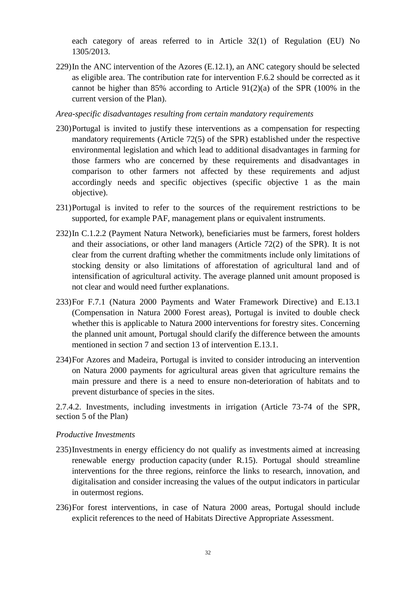each category of areas referred to in Article 32(1) of Regulation (EU) No 1305/2013.

229)In the ANC intervention of the Azores (E.12.1), an ANC category should be selected as eligible area. The contribution rate for intervention F.6.2 should be corrected as it cannot be higher than 85% according to Article 91(2)(a) of the SPR (100% in the current version of the Plan).

*Area-specific disadvantages resulting from certain mandatory requirements*

- 230)Portugal is invited to justify these interventions as a compensation for respecting mandatory requirements (Article 72(5) of the SPR) established under the respective environmental legislation and which lead to additional disadvantages in farming for those farmers who are concerned by these requirements and disadvantages in comparison to other farmers not affected by these requirements and adjust accordingly needs and specific objectives (specific objective 1 as the main objective).
- 231)Portugal is invited to refer to the sources of the requirement restrictions to be supported, for example PAF, management plans or equivalent instruments.
- 232)In C.1.2.2 (Payment Natura Network), beneficiaries must be farmers, forest holders and their associations, or other land managers (Article 72(2) of the SPR). It is not clear from the current drafting whether the commitments include only limitations of stocking density or also limitations of afforestation of agricultural land and of intensification of agricultural activity. The average planned unit amount proposed is not clear and would need further explanations.
- 233)For F.7.1 (Natura 2000 Payments and Water Framework Directive) and E.13.1 (Compensation in Natura 2000 Forest areas), Portugal is invited to double check whether this is applicable to Natura 2000 interventions for forestry sites. Concerning the planned unit amount, Portugal should clarify the difference between the amounts mentioned in section 7 and section 13 of intervention E.13.1.
- 234)For Azores and Madeira, Portugal is invited to consider introducing an intervention on Natura 2000 payments for agricultural areas given that agriculture remains the main pressure and there is a need to ensure non-deterioration of habitats and to prevent disturbance of species in the sites.

2.7.4.2. Investments, including investments in irrigation (Article 73-74 of the SPR, section 5 of the Plan)

#### *Productive Investments*

- 235)Investments in energy efficiency do not qualify as investments aimed at increasing renewable energy production capacity (under R.15). Portugal should streamline interventions for the three regions, reinforce the links to research, innovation, and digitalisation and consider increasing the values of the output indicators in particular in outermost regions.
- 236)For forest interventions, in case of Natura 2000 areas, Portugal should include explicit references to the need of Habitats Directive Appropriate Assessment.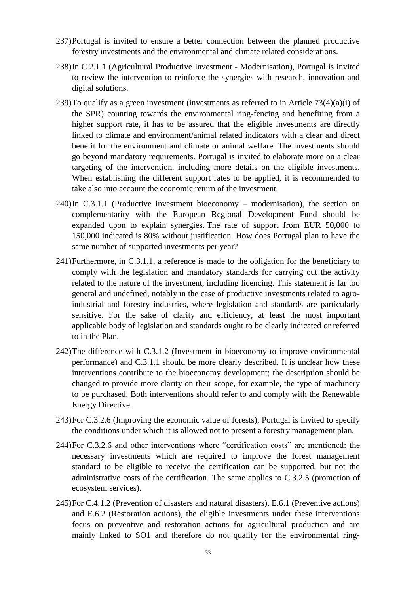- 237)Portugal is invited to ensure a better connection between the planned productive forestry investments and the environmental and climate related considerations.
- 238)In C.2.1.1 (Agricultural Productive Investment Modernisation), Portugal is invited to review the intervention to reinforce the synergies with research, innovation and digital solutions.
- 239)To qualify as a green investment (investments as referred to in Article 73(4)(a)(i) of the SPR) counting towards the environmental ring-fencing and benefiting from a higher support rate, it has to be assured that the eligible investments are directly linked to climate and environment/animal related indicators with a clear and direct benefit for the environment and climate or animal welfare. The investments should go beyond mandatory requirements. Portugal is invited to elaborate more on a clear targeting of the intervention, including more details on the eligible investments. When establishing the different support rates to be applied, it is recommended to take also into account the economic return of the investment.
- $240$ In C.3.1.1 (Productive investment bioeconomy modernisation), the section on complementarity with the European Regional Development Fund should be expanded upon to explain synergies. The rate of support from EUR 50,000 to 150,000 indicated is 80% without justification. How does Portugal plan to have the same number of supported investments per year?
- 241)Furthermore, in C.3.1.1, a reference is made to the obligation for the beneficiary to comply with the legislation and mandatory standards for carrying out the activity related to the nature of the investment, including licencing. This statement is far too general and undefined, notably in the case of productive investments related to agroindustrial and forestry industries, where legislation and standards are particularly sensitive. For the sake of clarity and efficiency, at least the most important applicable body of legislation and standards ought to be clearly indicated or referred to in the Plan.
- 242)The difference with C.3.1.2 (Investment in bioeconomy to improve environmental performance) and C.3.1.1 should be more clearly described. It is unclear how these interventions contribute to the bioeconomy development; the description should be changed to provide more clarity on their scope, for example, the type of machinery to be purchased. Both interventions should refer to and comply with the Renewable Energy Directive.
- 243)For C.3.2.6 (Improving the economic value of forests), Portugal is invited to specify the conditions under which it is allowed not to present a forestry management plan.
- 244)For C.3.2.6 and other interventions where "certification costs" are mentioned: the necessary investments which are required to improve the forest management standard to be eligible to receive the certification can be supported, but not the administrative costs of the certification. The same applies to C.3.2.5 (promotion of ecosystem services).
- 245)For C.4.1.2 (Prevention of disasters and natural disasters), E.6.1 (Preventive actions) and E.6.2 (Restoration actions), the eligible investments under these interventions focus on preventive and restoration actions for agricultural production and are mainly linked to SO1 and therefore do not qualify for the environmental ring-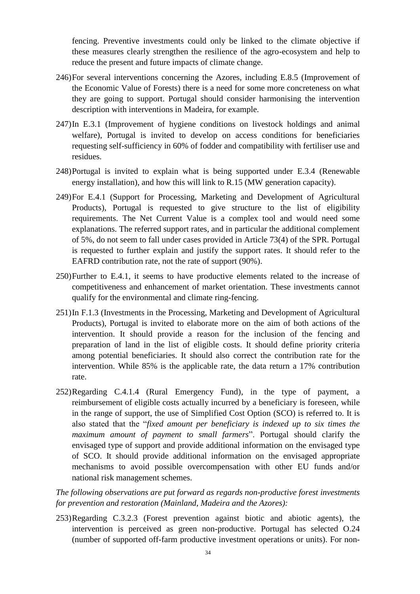fencing. Preventive investments could only be linked to the climate objective if these measures clearly strengthen the resilience of the agro-ecosystem and help to reduce the present and future impacts of climate change.

- 246)For several interventions concerning the Azores, including E.8.5 (Improvement of the Economic Value of Forests) there is a need for some more concreteness on what they are going to support. Portugal should consider harmonising the intervention description with interventions in Madeira, for example.
- 247)In E.3.1 (Improvement of hygiene conditions on livestock holdings and animal welfare), Portugal is invited to develop on access conditions for beneficiaries requesting self-sufficiency in 60% of fodder and compatibility with fertiliser use and residues.
- 248)Portugal is invited to explain what is being supported under E.3.4 (Renewable energy installation), and how this will link to R.15 (MW generation capacity).
- 249)For E.4.1 (Support for Processing, Marketing and Development of Agricultural Products), Portugal is requested to give structure to the list of eligibility requirements. The Net Current Value is a complex tool and would need some explanations. The referred support rates, and in particular the additional complement of 5%, do not seem to fall under cases provided in Article 73(4) of the SPR. Portugal is requested to further explain and justify the support rates. It should refer to the EAFRD contribution rate, not the rate of support (90%).
- 250)Further to E.4.1, it seems to have productive elements related to the increase of competitiveness and enhancement of market orientation. These investments cannot qualify for the environmental and climate ring-fencing.
- 251)In F.1.3 (Investments in the Processing, Marketing and Development of Agricultural Products), Portugal is invited to elaborate more on the aim of both actions of the intervention. It should provide a reason for the inclusion of the fencing and preparation of land in the list of eligible costs. It should define priority criteria among potential beneficiaries. It should also correct the contribution rate for the intervention. While 85% is the applicable rate, the data return a 17% contribution rate.
- 252)Regarding C.4.1.4 (Rural Emergency Fund), in the type of payment, a reimbursement of eligible costs actually incurred by a beneficiary is foreseen, while in the range of support, the use of Simplified Cost Option (SCO) is referred to. It is also stated that the "*fixed amount per beneficiary is indexed up to six times the maximum amount of payment to small farmers*". Portugal should clarify the envisaged type of support and provide additional information on the envisaged type of SCO. It should provide additional information on the envisaged appropriate mechanisms to avoid possible overcompensation with other EU funds and/or national risk management schemes.

*The following observations are put forward as regards non-productive forest investments for prevention and restoration (Mainland, Madeira and the Azores):*

253)Regarding C.3.2.3 (Forest prevention against biotic and abiotic agents), the intervention is perceived as green non-productive. Portugal has selected O.24 (number of supported off-farm productive investment operations or units). For non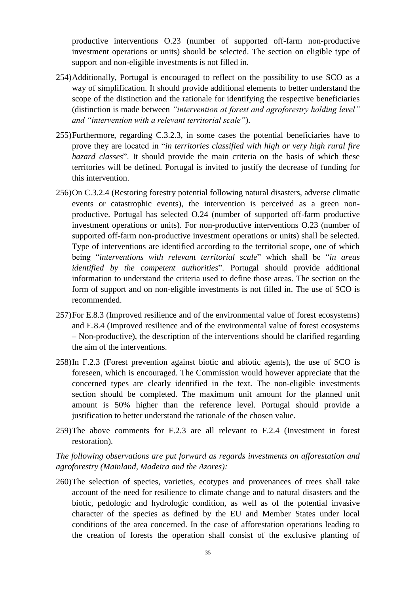productive interventions O.23 (number of supported off-farm non-productive investment operations or units) should be selected. The section on eligible type of support and non-eligible investments is not filled in.

- 254)Additionally, Portugal is encouraged to reflect on the possibility to use SCO as a way of simplification. It should provide additional elements to better understand the scope of the distinction and the rationale for identifying the respective beneficiaries (distinction is made between *"intervention at forest and agroforestry holding level" and "intervention with a relevant territorial scale"*).
- 255)Furthermore, regarding C.3.2.3, in some cases the potential beneficiaries have to prove they are located in "*in territories classified with high or very high rural fire hazard classes*". It should provide the main criteria on the basis of which these territories will be defined. Portugal is invited to justify the decrease of funding for this intervention.
- 256)On C.3.2.4 (Restoring forestry potential following natural disasters, adverse climatic events or catastrophic events), the intervention is perceived as a green nonproductive. Portugal has selected O.24 (number of supported off-farm productive investment operations or units). For non-productive interventions O.23 (number of supported off-farm non-productive investment operations or units) shall be selected. Type of interventions are identified according to the territorial scope, one of which being "*interventions with relevant territorial scale*" which shall be "*in areas identified by the competent authorities*". Portugal should provide additional information to understand the criteria used to define those areas. The section on the form of support and on non-eligible investments is not filled in. The use of SCO is recommended.
- 257)For E.8.3 (Improved resilience and of the environmental value of forest ecosystems) and E.8.4 (Improved resilience and of the environmental value of forest ecosystems – Non-productive), the description of the interventions should be clarified regarding the aim of the interventions.
- 258)In F.2.3 (Forest prevention against biotic and abiotic agents), the use of SCO is foreseen, which is encouraged. The Commission would however appreciate that the concerned types are clearly identified in the text. The non-eligible investments section should be completed. The maximum unit amount for the planned unit amount is 50% higher than the reference level. Portugal should provide a justification to better understand the rationale of the chosen value.
- 259)The above comments for F.2.3 are all relevant to F.2.4 (Investment in forest restoration).

*The following observations are put forward as regards investments on afforestation and agroforestry (Mainland, Madeira and the Azores):*

260)The selection of species, varieties, ecotypes and provenances of trees shall take account of the need for resilience to climate change and to natural disasters and the biotic, pedologic and hydrologic condition, as well as of the potential invasive character of the species as defined by the EU and Member States under local conditions of the area concerned. In the case of afforestation operations leading to the creation of forests the operation shall consist of the exclusive planting of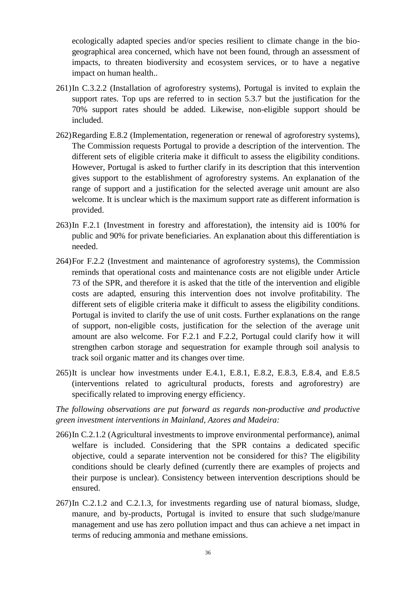ecologically adapted species and/or species resilient to climate change in the biogeographical area concerned, which have not been found, through an assessment of impacts, to threaten biodiversity and ecosystem services, or to have a negative impact on human health..

- 261)In C.3.2.2 (Installation of agroforestry systems), Portugal is invited to explain the support rates. Top ups are referred to in section 5.3.7 but the justification for the 70% support rates should be added. Likewise, non-eligible support should be included.
- 262)Regarding E.8.2 (Implementation, regeneration or renewal of agroforestry systems), The Commission requests Portugal to provide a description of the intervention. The different sets of eligible criteria make it difficult to assess the eligibility conditions. However, Portugal is asked to further clarify in its description that this intervention gives support to the establishment of agroforestry systems. An explanation of the range of support and a justification for the selected average unit amount are also welcome. It is unclear which is the maximum support rate as different information is provided.
- 263)In F.2.1 (Investment in forestry and afforestation), the intensity aid is 100% for public and 90% for private beneficiaries. An explanation about this differentiation is needed.
- 264)For F.2.2 (Investment and maintenance of agroforestry systems), the Commission reminds that operational costs and maintenance costs are not eligible under Article 73 of the SPR, and therefore it is asked that the title of the intervention and eligible costs are adapted, ensuring this intervention does not involve profitability. The different sets of eligible criteria make it difficult to assess the eligibility conditions. Portugal is invited to clarify the use of unit costs. Further explanations on the range of support, non-eligible costs, justification for the selection of the average unit amount are also welcome. For F.2.1 and F.2.2, Portugal could clarify how it will strengthen carbon storage and sequestration for example through soil analysis to track soil organic matter and its changes over time.
- 265)It is unclear how investments under E.4.1, E.8.1, E.8.2, E.8.3, E.8.4, and E.8.5 (interventions related to agricultural products, forests and agroforestry) are specifically related to improving energy efficiency.

*The following observations are put forward as regards non-productive and productive green investment interventions in Mainland, Azores and Madeira:*

- 266)In C.2.1.2 (Agricultural investments to improve environmental performance), animal welfare is included. Considering that the SPR contains a dedicated specific objective, could a separate intervention not be considered for this? The eligibility conditions should be clearly defined (currently there are examples of projects and their purpose is unclear). Consistency between intervention descriptions should be ensured.
- 267)In C.2.1.2 and C.2.1.3, for investments regarding use of natural biomass, sludge, manure, and by-products, Portugal is invited to ensure that such sludge/manure management and use has zero pollution impact and thus can achieve a net impact in terms of reducing ammonia and methane emissions.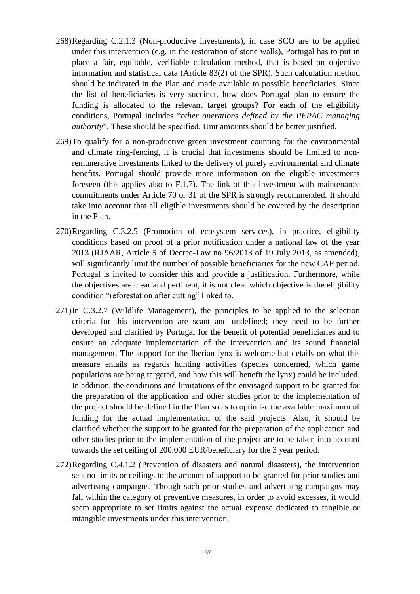- 268)Regarding C.2.1.3 (Non-productive investments), in case SCO are to be applied under this intervention (e.g. in the restoration of stone walls), Portugal has to put in place a fair, equitable, verifiable calculation method, that is based on objective information and statistical data (Article 83(2) of the SPR). Such calculation method should be indicated in the Plan and made available to possible beneficiaries. Since the list of beneficiaries is very succinct, how does Portugal plan to ensure the funding is allocated to the relevant target groups? For each of the eligibility conditions, Portugal includes "*other operations defined by the PEPAC managing authority*". These should be specified. Unit amounts should be better justified.
- 269)To qualify for a non-productive green investment counting for the environmental and climate ring-fencing, it is crucial that investments should be limited to nonremunerative investments linked to the delivery of purely environmental and climate benefits. Portugal should provide more information on the eligible investments foreseen (this applies also to F.1.7). The link of this investment with maintenance commitments under Article 70 or 31 of the SPR is strongly recommended. It should take into account that all eligible investments should be covered by the description in the Plan.
- 270)Regarding C.3.2.5 (Promotion of ecosystem services), in practice, eligibility conditions based on proof of a prior notification under a national law of the year 2013 (RJAAR, Article 5 of Decree-Law no 96/2013 of 19 July 2013, as amended), will significantly limit the number of possible beneficiaries for the new CAP period. Portugal is invited to consider this and provide a justification. Furthermore, while the objectives are clear and pertinent, it is not clear which objective is the eligibility condition "reforestation after cutting" linked to.
- 271)In C.3.2.7 (Wildlife Management), the principles to be applied to the selection criteria for this intervention are scant and undefined; they need to be further developed and clarified by Portugal for the benefit of potential beneficiaries and to ensure an adequate implementation of the intervention and its sound financial management. The support for the Iberian lynx is welcome but details on what this measure entails as regards hunting activities (species concerned, which game populations are being targeted, and how this will benefit the lynx) could be included. In addition, the conditions and limitations of the envisaged support to be granted for the preparation of the application and other studies prior to the implementation of the project should be defined in the Plan so as to optimise the available maximum of funding for the actual implementation of the said projects. Also, it should be clarified whether the support to be granted for the preparation of the application and other studies prior to the implementation of the project are to be taken into account towards the set ceiling of 200.000 EUR/beneficiary for the 3 year period.
- 272)Regarding C.4.1.2 (Prevention of disasters and natural disasters), the intervention sets no limits or ceilings to the amount of support to be granted for prior studies and advertising campaigns. Though such prior studies and advertising campaigns may fall within the category of preventive measures, in order to avoid excesses, it would seem appropriate to set limits against the actual expense dedicated to tangible or intangible investments under this intervention.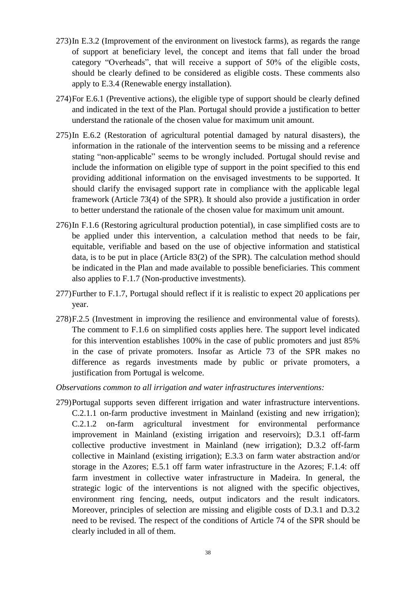- 273)In E.3.2 (Improvement of the environment on livestock farms), as regards the range of support at beneficiary level, the concept and items that fall under the broad category "Overheads", that will receive a support of 50% of the eligible costs, should be clearly defined to be considered as eligible costs. These comments also apply to E.3.4 (Renewable energy installation).
- 274)For E.6.1 (Preventive actions), the eligible type of support should be clearly defined and indicated in the text of the Plan. Portugal should provide a justification to better understand the rationale of the chosen value for maximum unit amount.
- 275)In E.6.2 (Restoration of agricultural potential damaged by natural disasters), the information in the rationale of the intervention seems to be missing and a reference stating "non-applicable" seems to be wrongly included. Portugal should revise and include the information on eligible type of support in the point specified to this end providing additional information on the envisaged investments to be supported. It should clarify the envisaged support rate in compliance with the applicable legal framework (Article 73(4) of the SPR). It should also provide a justification in order to better understand the rationale of the chosen value for maximum unit amount.
- 276)In F.1.6 (Restoring agricultural production potential), in case simplified costs are to be applied under this intervention, a calculation method that needs to be fair, equitable, verifiable and based on the use of objective information and statistical data, is to be put in place (Article 83(2) of the SPR). The calculation method should be indicated in the Plan and made available to possible beneficiaries. This comment also applies to F.1.7 (Non-productive investments).
- 277)Further to F.1.7, Portugal should reflect if it is realistic to expect 20 applications per year.
- 278)F.2.5 (Investment in improving the resilience and environmental value of forests). The comment to F.1.6 on simplified costs applies here. The support level indicated for this intervention establishes 100% in the case of public promoters and just 85% in the case of private promoters. Insofar as Article 73 of the SPR makes no difference as regards investments made by public or private promoters, a justification from Portugal is welcome.
- *Observations common to all irrigation and water infrastructures interventions:*
- 279)Portugal supports seven different irrigation and water infrastructure interventions. C.2.1.1 on-farm productive investment in Mainland (existing and new irrigation); C.2.1.2 on-farm agricultural investment for environmental performance improvement in Mainland (existing irrigation and reservoirs); D.3.1 off-farm collective productive investment in Mainland (new irrigation); D.3.2 off-farm collective in Mainland (existing irrigation); E.3.3 on farm water abstraction and/or storage in the Azores; E.5.1 off farm water infrastructure in the Azores; F.1.4: off farm investment in collective water infrastructure in Madeira. In general, the strategic logic of the interventions is not aligned with the specific objectives, environment ring fencing, needs, output indicators and the result indicators. Moreover, principles of selection are missing and eligible costs of D.3.1 and D.3.2 need to be revised. The respect of the conditions of Article 74 of the SPR should be clearly included in all of them.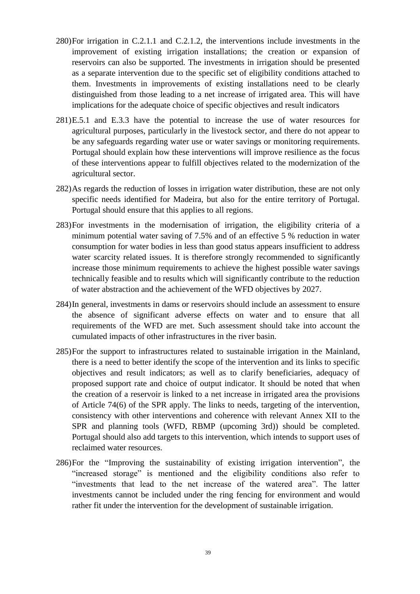- 280)For irrigation in C.2.1.1 and C.2.1.2, the interventions include investments in the improvement of existing irrigation installations; the creation or expansion of reservoirs can also be supported. The investments in irrigation should be presented as a separate intervention due to the specific set of eligibility conditions attached to them. Investments in improvements of existing installations need to be clearly distinguished from those leading to a net increase of irrigated area. This will have implications for the adequate choice of specific objectives and result indicators
- 281)E.5.1 and E.3.3 have the potential to increase the use of water resources for agricultural purposes, particularly in the livestock sector, and there do not appear to be any safeguards regarding water use or water savings or monitoring requirements. Portugal should explain how these interventions will improve resilience as the focus of these interventions appear to fulfill objectives related to the modernization of the agricultural sector.
- 282)As regards the reduction of losses in irrigation water distribution, these are not only specific needs identified for Madeira, but also for the entire territory of Portugal. Portugal should ensure that this applies to all regions.
- 283)For investments in the modernisation of irrigation, the eligibility criteria of a minimum potential water saving of 7.5% and of an effective 5 % reduction in water consumption for water bodies in less than good status appears insufficient to address water scarcity related issues. It is therefore strongly recommended to significantly increase those minimum requirements to achieve the highest possible water savings technically feasible and to results which will significantly contribute to the reduction of water abstraction and the achievement of the WFD objectives by 2027.
- 284)In general, investments in dams or reservoirs should include an assessment to ensure the absence of significant adverse effects on water and to ensure that all requirements of the WFD are met. Such assessment should take into account the cumulated impacts of other infrastructures in the river basin.
- 285)For the support to infrastructures related to sustainable irrigation in the Mainland, there is a need to better identify the scope of the intervention and its links to specific objectives and result indicators; as well as to clarify beneficiaries, adequacy of proposed support rate and choice of output indicator. It should be noted that when the creation of a reservoir is linked to a net increase in irrigated area the provisions of Article 74(6) of the SPR apply. The links to needs, targeting of the intervention, consistency with other interventions and coherence with relevant Annex XII to the SPR and planning tools (WFD, RBMP (upcoming 3rd)) should be completed. Portugal should also add targets to this intervention, which intends to support uses of reclaimed water resources.
- 286)For the "Improving the sustainability of existing irrigation intervention", the "increased storage" is mentioned and the eligibility conditions also refer to "investments that lead to the net increase of the watered area". The latter investments cannot be included under the ring fencing for environment and would rather fit under the intervention for the development of sustainable irrigation.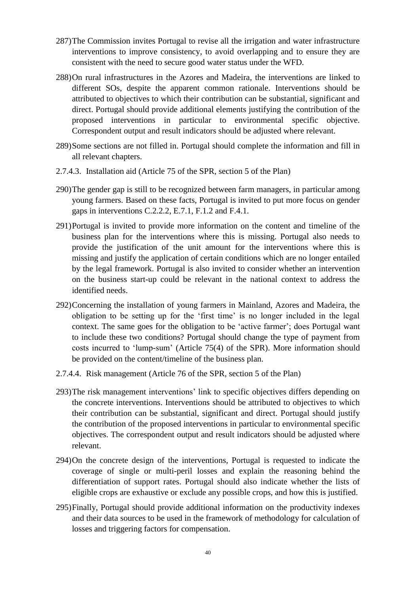- 287)The Commission invites Portugal to revise all the irrigation and water infrastructure interventions to improve consistency, to avoid overlapping and to ensure they are consistent with the need to secure good water status under the WFD.
- 288)On rural infrastructures in the Azores and Madeira, the interventions are linked to different SOs, despite the apparent common rationale. Interventions should be attributed to objectives to which their contribution can be substantial, significant and direct. Portugal should provide additional elements justifying the contribution of the proposed interventions in particular to environmental specific objective. Correspondent output and result indicators should be adjusted where relevant.
- 289)Some sections are not filled in. Portugal should complete the information and fill in all relevant chapters.
- 2.7.4.3. Installation aid (Article 75 of the SPR, section 5 of the Plan)
- 290)The gender gap is still to be recognized between farm managers, in particular among young farmers. Based on these facts, Portugal is invited to put more focus on gender gaps in interventions C.2.2.2, E.7.1, F.1.2 and F.4.1.
- 291)Portugal is invited to provide more information on the content and timeline of the business plan for the interventions where this is missing. Portugal also needs to provide the justification of the unit amount for the interventions where this is missing and justify the application of certain conditions which are no longer entailed by the legal framework. Portugal is also invited to consider whether an intervention on the business start-up could be relevant in the national context to address the identified needs.
- 292)Concerning the installation of young farmers in Mainland, Azores and Madeira, the obligation to be setting up for the 'first time' is no longer included in the legal context. The same goes for the obligation to be 'active farmer'; does Portugal want to include these two conditions? Portugal should change the type of payment from costs incurred to 'lump-sum' (Article 75(4) of the SPR). More information should be provided on the content/timeline of the business plan.
- 2.7.4.4. Risk management (Article 76 of the SPR, section 5 of the Plan)
- 293)The risk management interventions' link to specific objectives differs depending on the concrete interventions. Interventions should be attributed to objectives to which their contribution can be substantial, significant and direct. Portugal should justify the contribution of the proposed interventions in particular to environmental specific objectives. The correspondent output and result indicators should be adjusted where relevant.
- 294)On the concrete design of the interventions, Portugal is requested to indicate the coverage of single or multi-peril losses and explain the reasoning behind the differentiation of support rates. Portugal should also indicate whether the lists of eligible crops are exhaustive or exclude any possible crops, and how this is justified.
- 295)Finally, Portugal should provide additional information on the productivity indexes and their data sources to be used in the framework of methodology for calculation of losses and triggering factors for compensation.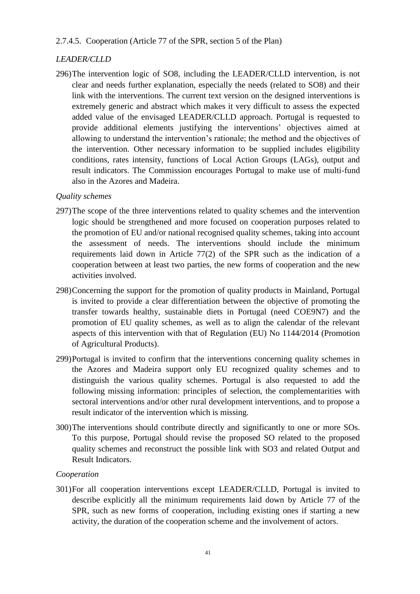### 2.7.4.5. Cooperation (Article 77 of the SPR, section 5 of the Plan)

# *LEADER/CLLD*

296)The intervention logic of SO8, including the LEADER/CLLD intervention, is not clear and needs further explanation, especially the needs (related to SO8) and their link with the interventions. The current text version on the designed interventions is extremely generic and abstract which makes it very difficult to assess the expected added value of the envisaged LEADER/CLLD approach. Portugal is requested to provide additional elements justifying the interventions' objectives aimed at allowing to understand the intervention's rationale; the method and the objectives of the intervention. Other necessary information to be supplied includes eligibility conditions, rates intensity, functions of Local Action Groups (LAGs), output and result indicators. The Commission encourages Portugal to make use of multi-fund also in the Azores and Madeira.

## *Quality schemes*

- 297)The scope of the three interventions related to quality schemes and the intervention logic should be strengthened and more focused on cooperation purposes related to the promotion of EU and/or national recognised quality schemes, taking into account the assessment of needs. The interventions should include the minimum requirements laid down in Article 77(2) of the SPR such as the indication of a cooperation between at least two parties, the new forms of cooperation and the new activities involved.
- 298)Concerning the support for the promotion of quality products in Mainland, Portugal is invited to provide a clear differentiation between the objective of promoting the transfer towards healthy, sustainable diets in Portugal (need COE9N7) and the promotion of EU quality schemes, as well as to align the calendar of the relevant aspects of this intervention with that of Regulation (EU) No 1144/2014 (Promotion of Agricultural Products).
- 299)Portugal is invited to confirm that the interventions concerning quality schemes in the Azores and Madeira support only EU recognized quality schemes and to distinguish the various quality schemes. Portugal is also requested to add the following missing information: principles of selection, the complementarities with sectoral interventions and/or other rural development interventions, and to propose a result indicator of the intervention which is missing.
- 300)The interventions should contribute directly and significantly to one or more SOs. To this purpose, Portugal should revise the proposed SO related to the proposed quality schemes and reconstruct the possible link with SO3 and related Output and Result Indicators.

## *Cooperation*

301)For all cooperation interventions except LEADER/CLLD, Portugal is invited to describe explicitly all the minimum requirements laid down by Article 77 of the SPR, such as new forms of cooperation, including existing ones if starting a new activity, the duration of the cooperation scheme and the involvement of actors.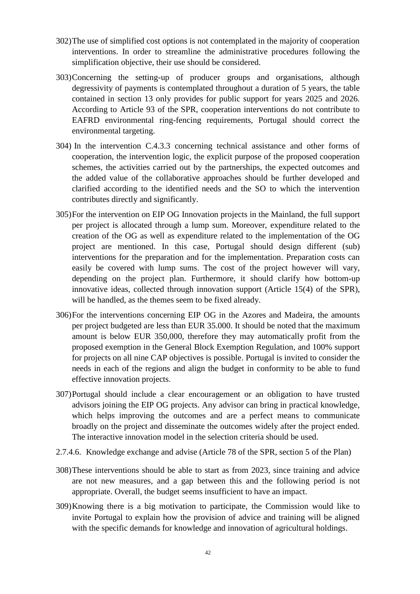- 302)The use of simplified cost options is not contemplated in the majority of cooperation interventions. In order to streamline the administrative procedures following the simplification objective, their use should be considered.
- 303)Concerning the setting-up of producer groups and organisations, although degressivity of payments is contemplated throughout a duration of 5 years, the table contained in section 13 only provides for public support for years 2025 and 2026. According to Article 93 of the SPR, cooperation interventions do not contribute to EAFRD environmental ring-fencing requirements, Portugal should correct the environmental targeting.
- 304) In the intervention C.4.3.3 concerning technical assistance and other forms of cooperation, the intervention logic, the explicit purpose of the proposed cooperation schemes, the activities carried out by the partnerships, the expected outcomes and the added value of the collaborative approaches should be further developed and clarified according to the identified needs and the SO to which the intervention contributes directly and significantly.
- 305)For the intervention on EIP OG Innovation projects in the Mainland, the full support per project is allocated through a lump sum. Moreover, expenditure related to the creation of the OG as well as expenditure related to the implementation of the OG project are mentioned. In this case, Portugal should design different (sub) interventions for the preparation and for the implementation. Preparation costs can easily be covered with lump sums. The cost of the project however will vary, depending on the project plan. Furthermore, it should clarify how bottom-up innovative ideas, collected through innovation support (Article 15(4) of the SPR), will be handled, as the themes seem to be fixed already.
- 306)For the interventions concerning EIP OG in the Azores and Madeira, the amounts per project budgeted are less than EUR 35.000. It should be noted that the maximum amount is below EUR 350,000, therefore they may automatically profit from the proposed exemption in the General Block Exemption Regulation, and 100% support for projects on all nine CAP objectives is possible. Portugal is invited to consider the needs in each of the regions and align the budget in conformity to be able to fund effective innovation projects.
- 307)Portugal should include a clear encouragement or an obligation to have trusted advisors joining the EIP OG projects. Any advisor can bring in practical knowledge, which helps improving the outcomes and are a perfect means to communicate broadly on the project and disseminate the outcomes widely after the project ended. The interactive innovation model in the selection criteria should be used.
- 2.7.4.6. Knowledge exchange and advise (Article 78 of the SPR, section 5 of the Plan)
- 308)These interventions should be able to start as from 2023, since training and advice are not new measures, and a gap between this and the following period is not appropriate. Overall, the budget seems insufficient to have an impact.
- 309)Knowing there is a big motivation to participate, the Commission would like to invite Portugal to explain how the provision of advice and training will be aligned with the specific demands for knowledge and innovation of agricultural holdings.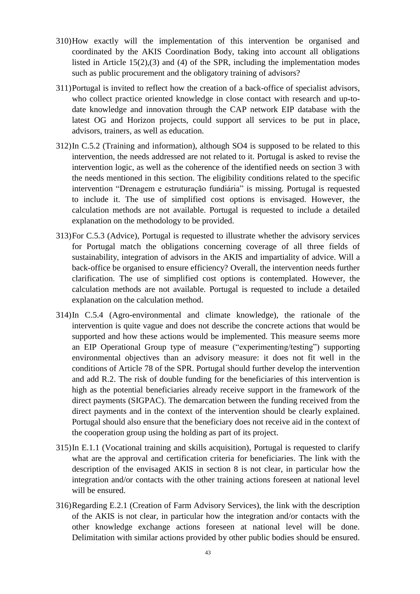- 310)How exactly will the implementation of this intervention be organised and coordinated by the AKIS Coordination Body, taking into account all obligations listed in Article 15(2),(3) and (4) of the SPR, including the implementation modes such as public procurement and the obligatory training of advisors?
- 311)Portugal is invited to reflect how the creation of a back-office of specialist advisors, who collect practice oriented knowledge in close contact with research and up-todate knowledge and innovation through the CAP network EIP database with the latest OG and Horizon projects, could support all services to be put in place, advisors, trainers, as well as education.
- 312)In C.5.2 (Training and information), although SO4 is supposed to be related to this intervention, the needs addressed are not related to it. Portugal is asked to revise the intervention logic, as well as the coherence of the identified needs on section 3 with the needs mentioned in this section. The eligibility conditions related to the specific intervention "Drenagem e estruturação fundiária" is missing. Portugal is requested to include it. The use of simplified cost options is envisaged. However, the calculation methods are not available. Portugal is requested to include a detailed explanation on the methodology to be provided.
- 313)For C.5.3 (Advice), Portugal is requested to illustrate whether the advisory services for Portugal match the obligations concerning coverage of all three fields of sustainability, integration of advisors in the AKIS and impartiality of advice. Will a back-office be organised to ensure efficiency? Overall, the intervention needs further clarification. The use of simplified cost options is contemplated. However, the calculation methods are not available. Portugal is requested to include a detailed explanation on the calculation method.
- 314)In C.5.4 (Agro-environmental and climate knowledge), the rationale of the intervention is quite vague and does not describe the concrete actions that would be supported and how these actions would be implemented. This measure seems more an EIP Operational Group type of measure ("experimenting/testing") supporting environmental objectives than an advisory measure: it does not fit well in the conditions of Article 78 of the SPR. Portugal should further develop the intervention and add R.2. The risk of double funding for the beneficiaries of this intervention is high as the potential beneficiaries already receive support in the framework of the direct payments (SIGPAC). The demarcation between the funding received from the direct payments and in the context of the intervention should be clearly explained. Portugal should also ensure that the beneficiary does not receive aid in the context of the cooperation group using the holding as part of its project.
- 315)In E.1.1 (Vocational training and skills acquisition), Portugal is requested to clarify what are the approval and certification criteria for beneficiaries. The link with the description of the envisaged AKIS in section 8 is not clear, in particular how the integration and/or contacts with the other training actions foreseen at national level will be ensured.
- 316)Regarding E.2.1 (Creation of Farm Advisory Services), the link with the description of the AKIS is not clear, in particular how the integration and/or contacts with the other knowledge exchange actions foreseen at national level will be done. Delimitation with similar actions provided by other public bodies should be ensured.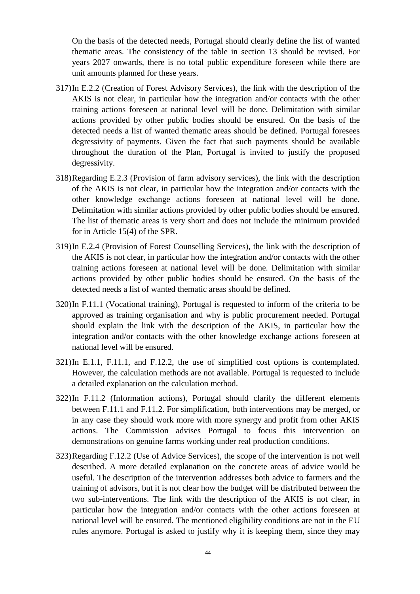On the basis of the detected needs, Portugal should clearly define the list of wanted thematic areas. The consistency of the table in section 13 should be revised. For years 2027 onwards, there is no total public expenditure foreseen while there are unit amounts planned for these years.

- 317)In E.2.2 (Creation of Forest Advisory Services), the link with the description of the AKIS is not clear, in particular how the integration and/or contacts with the other training actions foreseen at national level will be done. Delimitation with similar actions provided by other public bodies should be ensured. On the basis of the detected needs a list of wanted thematic areas should be defined. Portugal foresees degressivity of payments. Given the fact that such payments should be available throughout the duration of the Plan, Portugal is invited to justify the proposed degressivity.
- 318)Regarding E.2.3 (Provision of farm advisory services), the link with the description of the AKIS is not clear, in particular how the integration and/or contacts with the other knowledge exchange actions foreseen at national level will be done. Delimitation with similar actions provided by other public bodies should be ensured. The list of thematic areas is very short and does not include the minimum provided for in Article 15(4) of the SPR.
- 319)In E.2.4 (Provision of Forest Counselling Services), the link with the description of the AKIS is not clear, in particular how the integration and/or contacts with the other training actions foreseen at national level will be done. Delimitation with similar actions provided by other public bodies should be ensured. On the basis of the detected needs a list of wanted thematic areas should be defined.
- 320)In F.11.1 (Vocational training), Portugal is requested to inform of the criteria to be approved as training organisation and why is public procurement needed. Portugal should explain the link with the description of the AKIS, in particular how the integration and/or contacts with the other knowledge exchange actions foreseen at national level will be ensured.
- 321)In E.1.1, F.11.1, and F.12.2, the use of simplified cost options is contemplated. However, the calculation methods are not available. Portugal is requested to include a detailed explanation on the calculation method.
- 322)In F.11.2 (Information actions), Portugal should clarify the different elements between F.11.1 and F.11.2. For simplification, both interventions may be merged, or in any case they should work more with more synergy and profit from other AKIS actions. The Commission advises Portugal to focus this intervention on demonstrations on genuine farms working under real production conditions.
- 323)Regarding F.12.2 (Use of Advice Services), the scope of the intervention is not well described. A more detailed explanation on the concrete areas of advice would be useful. The description of the intervention addresses both advice to farmers and the training of advisors, but it is not clear how the budget will be distributed between the two sub-interventions. The link with the description of the AKIS is not clear, in particular how the integration and/or contacts with the other actions foreseen at national level will be ensured. The mentioned eligibility conditions are not in the EU rules anymore. Portugal is asked to justify why it is keeping them, since they may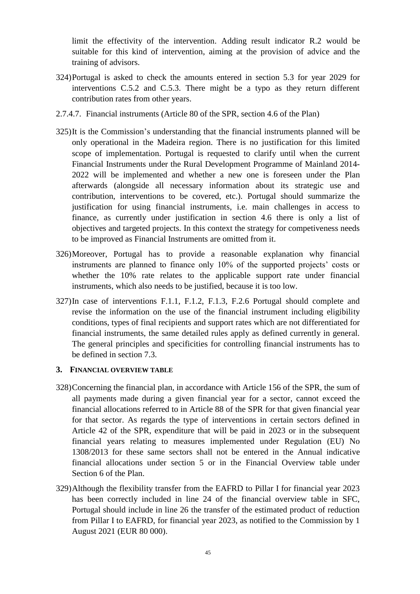limit the effectivity of the intervention. Adding result indicator R.2 would be suitable for this kind of intervention, aiming at the provision of advice and the training of advisors.

- 324)Portugal is asked to check the amounts entered in section 5.3 for year 2029 for interventions C.5.2 and C.5.3. There might be a typo as they return different contribution rates from other years.
- 2.7.4.7. Financial instruments (Article 80 of the SPR, section 4.6 of the Plan)
- 325)It is the Commission's understanding that the financial instruments planned will be only operational in the Madeira region. There is no justification for this limited scope of implementation. Portugal is requested to clarify until when the current Financial Instruments under the Rural Development Programme of Mainland 2014- 2022 will be implemented and whether a new one is foreseen under the Plan afterwards (alongside all necessary information about its strategic use and contribution, interventions to be covered, etc.). Portugal should summarize the justification for using financial instruments, i.e. main challenges in access to finance, as currently under justification in section 4.6 there is only a list of objectives and targeted projects. In this context the strategy for competiveness needs to be improved as Financial Instruments are omitted from it.
- 326)Moreover, Portugal has to provide a reasonable explanation why financial instruments are planned to finance only 10% of the supported projects' costs or whether the 10% rate relates to the applicable support rate under financial instruments, which also needs to be justified, because it is too low.
- 327)In case of interventions F.1.1, F.1.2, F.1.3, F.2.6 Portugal should complete and revise the information on the use of the financial instrument including eligibility conditions, types of final recipients and support rates which are not differentiated for financial instruments, the same detailed rules apply as defined currently in general. The general principles and specificities for controlling financial instruments has to be defined in section 7.3.

#### **3. FINANCIAL OVERVIEW TABLE**

- 328)Concerning the financial plan, in accordance with Article 156 of the SPR, the sum of all payments made during a given financial year for a sector, cannot exceed the financial allocations referred to in Article 88 of the SPR for that given financial year for that sector. As regards the type of interventions in certain sectors defined in Article 42 of the SPR, expenditure that will be paid in 2023 or in the subsequent financial years relating to measures implemented under Regulation (EU) No 1308/2013 for these same sectors shall not be entered in the Annual indicative financial allocations under section 5 or in the Financial Overview table under Section 6 of the Plan.
- 329)Although the flexibility transfer from the EAFRD to Pillar I for financial year 2023 has been correctly included in line 24 of the financial overview table in SFC, Portugal should include in line 26 the transfer of the estimated product of reduction from Pillar I to EAFRD, for financial year 2023, as notified to the Commission by 1 August 2021 (EUR 80 000).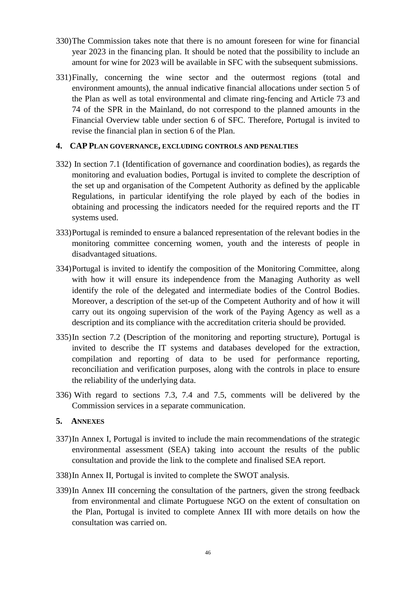- 330)The Commission takes note that there is no amount foreseen for wine for financial year 2023 in the financing plan. It should be noted that the possibility to include an amount for wine for 2023 will be available in SFC with the subsequent submissions.
- 331)Finally, concerning the wine sector and the outermost regions (total and environment amounts), the annual indicative financial allocations under section 5 of the Plan as well as total environmental and climate ring-fencing and Article 73 and 74 of the SPR in the Mainland, do not correspond to the planned amounts in the Financial Overview table under section 6 of SFC. Therefore, Portugal is invited to revise the financial plan in section 6 of the Plan.

## **4. CAP PLAN GOVERNANCE, EXCLUDING CONTROLS AND PENALTIES**

- 332) In section 7.1 (Identification of governance and coordination bodies), as regards the monitoring and evaluation bodies, Portugal is invited to complete the description of the set up and organisation of the Competent Authority as defined by the applicable Regulations, in particular identifying the role played by each of the bodies in obtaining and processing the indicators needed for the required reports and the IT systems used.
- 333)Portugal is reminded to ensure a balanced representation of the relevant bodies in the monitoring committee concerning women, youth and the interests of people in disadvantaged situations.
- 334)Portugal is invited to identify the composition of the Monitoring Committee, along with how it will ensure its independence from the Managing Authority as well identify the role of the delegated and intermediate bodies of the Control Bodies. Moreover, a description of the set-up of the Competent Authority and of how it will carry out its ongoing supervision of the work of the Paying Agency as well as a description and its compliance with the accreditation criteria should be provided.
- 335)In section 7.2 (Description of the monitoring and reporting structure), Portugal is invited to describe the IT systems and databases developed for the extraction, compilation and reporting of data to be used for performance reporting, reconciliation and verification purposes, along with the controls in place to ensure the reliability of the underlying data.
- 336) With regard to sections 7.3, 7.4 and 7.5, comments will be delivered by the Commission services in a separate communication.

## **5. ANNEXES**

- 337)In Annex I, Portugal is invited to include the main recommendations of the strategic environmental assessment (SEA) taking into account the results of the public consultation and provide the link to the complete and finalised SEA report.
- 338)In Annex II, Portugal is invited to complete the SWOT analysis.
- 339)In Annex III concerning the consultation of the partners, given the strong feedback from environmental and climate Portuguese NGO on the extent of consultation on the Plan, Portugal is invited to complete Annex III with more details on how the consultation was carried on.